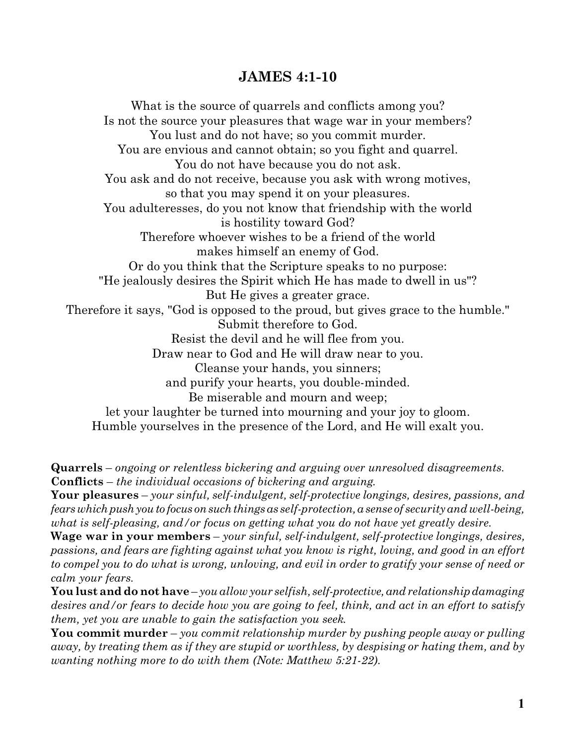## **JAMES 4:1-10**

What is the source of quarrels and conflicts among you? Is not the source your pleasures that wage war in your members? You lust and do not have; so you commit murder. You are envious and cannot obtain; so you fight and quarrel. You do not have because you do not ask. You ask and do not receive, because you ask with wrong motives, so that you may spend it on your pleasures. You adulteresses, do you not know that friendship with the world is hostility toward God? Therefore whoever wishes to be a friend of the world makes himself an enemy of God. Or do you think that the Scripture speaks to no purpose: "He jealously desires the Spirit which He has made to dwell in us"? But He gives a greater grace. Therefore it says, "God is opposed to the proud, but gives grace to the humble." Submit therefore to God. Resist the devil and he will flee from you. Draw near to God and He will draw near to you. Cleanse your hands, you sinners; and purify your hearts, you double-minded. Be miserable and mourn and weep; let your laughter be turned into mourning and your joy to gloom. Humble yourselves in the presence of the Lord, and He will exalt you.

**Quarrels** – *ongoing or relentless bickering and arguing over unresolved disagreements.* **Conflicts** – *the individual occasions of bickering and arguing*.

**Your pleasures** – *your sinful, self-indulgent, self-protective longings, desires, passions, and fearswhichpushyouto focus onsuchthings as self-protection, a sense of security and well-being, what is self-pleasing, and/or focus on getting what you do not have yet greatly desire.*

**Wage war in your members** – *your sinful, self-indulgent, self-protective longings, desires, passions, and fears are fighting against what you know is right, loving, and good in an effort to compel you to do what is wrong, unloving, and evil in order to gratify your sense of need or calm your fears*.

**You lust and do not have** – *you allow your selfish, self-protective, and relationship damaging desires and/or fears to decide how you are going to feel, think, and act in an effort to satisfy them, yet you are unable to gain the satisfaction you seek*.

**You commit murder** – *you commit relationship murder by pushing people away or pulling away, by treating them as if they are stupid or worthless, by despising or hating them, and by wanting nothing more to do with them (Note: Matthew 5:21-22)*.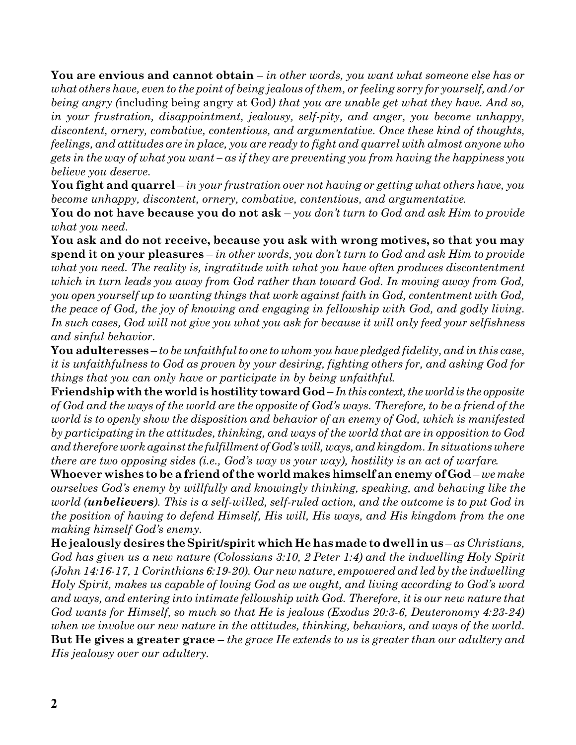**You are envious and cannot obtain** – *in other words, you want what someone else has or what others have, even to the point of being jealous of them, or feeling sorry for yourself, and/or being angry (*including being angry at God*) that you are unable get what they have. And so, in your frustration, disappointment, jealousy, self-pity, and anger, you become unhappy, discontent, ornery, combative, contentious, and argumentative. Once these kind of thoughts, feelings, and attitudes are in place, you are ready to fight and quarrel with almost anyone who gets in the way of what you want – as if they are preventing you from having the happiness you believe you deserve.* 

**You fight and quarrel** – *in your frustration over not having or getting what others have, you become unhappy, discontent, ornery, combative, contentious, and argumentative*.

**You do not have because you do not ask** – *you don't turn to God and ask Him to provide what you need*.

**You ask and do not receive, because you ask with wrong motives, so that you may spend it on your pleasures** – *in other words, you don't turn to God and ask Him to provide what you need. The reality is, ingratitude with what you have often produces discontentment which in turn leads you away from God rather than toward God. In moving away from God, you open yourself up to wanting things that work against faith in God, contentment with God, the peace of God, the joy of knowing and engaging in fellowship with God, and godly living*. *In such cases, God will not give you what you ask for because it will only feed your selfishness and sinful behavior.*

**You adulteresses** – *to be unfaithful to one to whom you have pledged fidelity, and in this case, it is unfaithfulness to God as proven by your desiring, fighting others for, and asking God for things that you can only have or participate in by being unfaithful*.

**Friendshipwiththeworldishostilitytoward God**– *Inthis context,theworldis the opposite of God and the ways of the world are the opposite of God's ways. Therefore, to be a friend of the world is to openly show the disposition and behavior of an enemy of God, which is manifested by participating in the attitudes, thinking, and ways of the world that are in opposition to God and therefore work against the fulfillment ofGod'swill,ways, andkingdom. In situations where there are two opposing sides (i.e., God's way vs your way), hostility is an act of warfare*.

**Whoever wishes to be a friend of the world makes himself an enemy of God**– *we make ourselves God's enemy by willfully and knowingly thinking, speaking, and behaving like the world (unbelievers). This is a self-willed, self-ruled action, and the outcome is to put God in the position of having to defend Himself, His will, His ways, and His kingdom from the one making himself God's enemy*.

**He jealously desires theSpirit/spirit which He has made to dwell in us** – *as Christians, God has given us a new nature (Colossians 3:10, 2 Peter 1:4) and the indwelling Holy Spirit (John 14:16-17, 1 Corinthians 6:19-20). Our new nature, empowered and led by the indwelling Holy Spirit, makes us capable of loving God as we ought, and living according to God's word and ways, and entering into intimate fellowship with God. Therefore, it is our new nature that God wants for Himself, so much so that He is jealous (Exodus 20:3-6, Deuteronomy 4:23-24) when we involve our new nature in the attitudes, thinking, behaviors, and ways of the world*. **But He gives a greater grace** – *the grace He extends to us is greater than our adultery and His jealousy over our adultery*.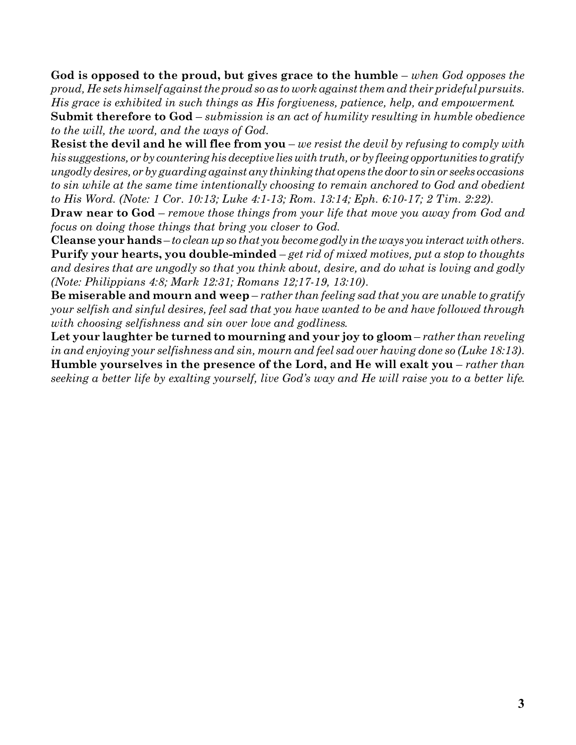**God is opposed to the proud, but gives grace to the humble** – *when God opposes the proud, He sets himself against the proud so as to work against them and their prideful pursuits. His grace is exhibited in such things as His forgiveness, patience, help, and empowerment*. **Submit therefore to God** – *submission is an act of humility resulting in humble obedience to the will, the word, and the ways of God*.

**Resist the devil and he will flee from you** – *we resist the devil by refusing to comply with his suggestions, or by countering hisdeceptive lieswithtruth, or by fleeing opportunities to gratify ungodlydesires, or by guarding against any thinking that opens thedoor to sinor seeks occasions to sin while at the same time intentionally choosing to remain anchored to God and obedient to His Word. (Note: 1 Cor. 10:13; Luke 4:1-13; Rom. 13:14; Eph. 6:10-17; 2 Tim. 2:22)*.

**Draw near to God** – *remove those things from your life that move you away from God and focus on doing those things that bring you closer to God*.

**Cleanse yourhands** – *to cleanup so that you become godly intheways youinteractwithothers*. **Purify your hearts, you double-minded** – *get rid of mixed motives, put a stop to thoughts and desires that are ungodly so that you think about, desire, and do what is loving and godly (Note: Philippians 4:8; Mark 12:31; Romans 12;17-19, 13:10)*.

**Be miserable and mourn and weep** – *rather than feeling sad that you are unable to gratify your selfish and sinful desires, feel sad that you have wanted to be and have followed through with choosing selfishness and sin over love and godliness*.

**Let your laughter be turned to mourning and your joy to gloom** – *rather than reveling in and enjoying your selfishness and sin, mourn and feel sad over having done so (Luke 18:13)*. **Humble yourselves in the presence of the Lord, and He will exalt you** – *rather than seeking a better life by exalting yourself, live God's way and He will raise you to a better life*.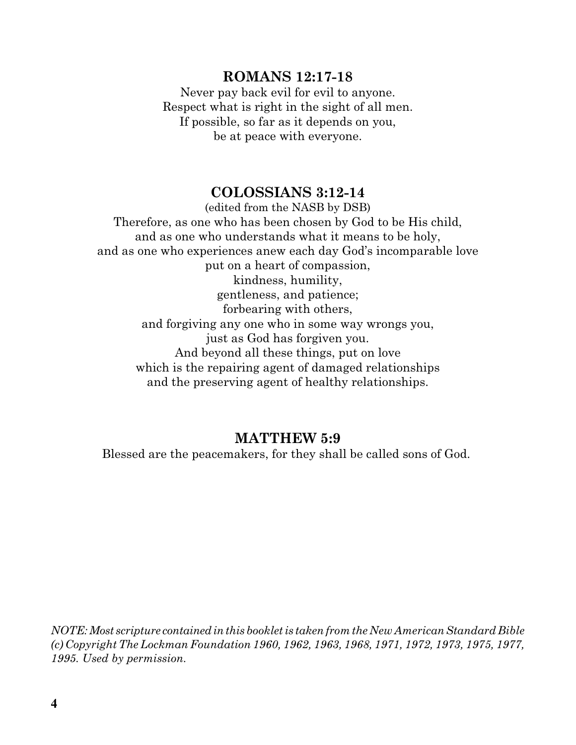## **ROMANS 12:17-18**

Never pay back evil for evil to anyone. Respect what is right in the sight of all men. If possible, so far as it depends on you, be at peace with everyone.

## **COLOSSIANS 3:12-14**

(edited from the NASB by DSB) Therefore, as one who has been chosen by God to be His child, and as one who understands what it means to be holy, and as one who experiences anew each day God's incomparable love put on a heart of compassion, kindness, humility, gentleness, and patience; forbearing with others, and forgiving any one who in some way wrongs you, just as God has forgiven you. And beyond all these things, put on love which is the repairing agent of damaged relationships and the preserving agent of healthy relationships.

## **MATTHEW 5:9**

Blessed are the peacemakers, for they shall be called sons of God.

*NOTE:Most scripture containedinthis booklet is taken from the New American Standard Bible (c) Copyright The Lockman Foundation 1960, 1962, 1963, 1968, 1971, 1972, 1973, 1975, 1977, 1995. Used by permission.*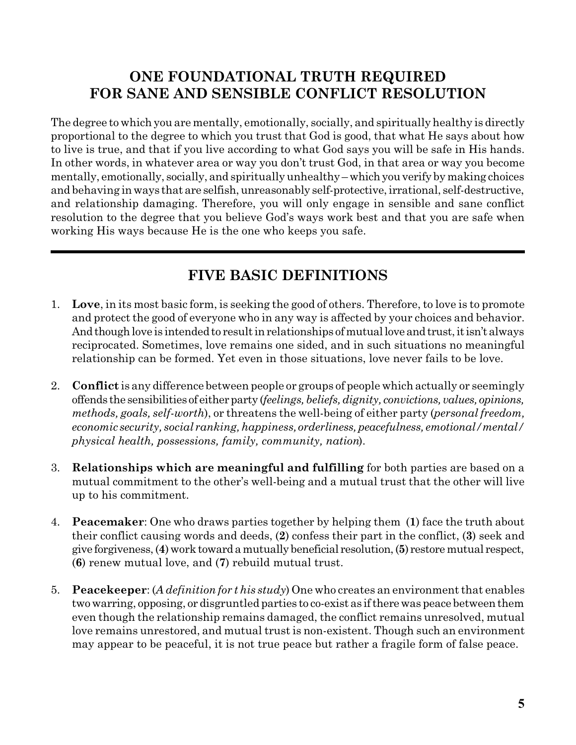## **ONE FOUNDATIONAL TRUTH REQUIRED FOR SANE AND SENSIBLE CONFLICT RESOLUTION**

The degree to which you are mentally, emotionally, socially, and spiritually healthy is directly proportional to the degree to which you trust that God is good, that what He says about how to live is true, and that if you live according to what God says you will be safe in His hands. In other words, in whatever area or way you don't trust God, in that area or way you become mentally, emotionally, socially, and spiritually unhealthy – which you verify by making choices and behaving in ways that are selfish, unreasonably self-protective, irrational, self-destructive, and relationship damaging. Therefore, you will only engage in sensible and sane conflict resolution to the degree that you believe God's ways work best and that you are safe when working His ways because He is the one who keeps you safe.

# **FIVE BASIC DEFINITIONS**

- 1. **Love**, in its most basic form, is seeking the good of others. Therefore, to love is to promote and protect the good of everyone who in any way is affected by your choices and behavior. And though love is intended to result in relationships of mutual love and trust, it isn't always reciprocated. Sometimes, love remains one sided, and in such situations no meaningful relationship can be formed. Yet even in those situations, love never fails to be love.
- 2. **Conflict** is any difference between people or groups of people which actually or seemingly offends the sensibilities of eitherparty (*feelings, beliefs,dignity, convictions, values, opinions, methods, goals, self-worth*), or threatens the well-being of either party (*personal freedom, economic security, social ranking, happiness,orderliness, peacefulness, emotional/mental/ physical health, possessions, family, community, nation*).
- 3. **Relationships which are meaningful and fulfilling** for both parties are based on a mutual commitment to the other's well-being and a mutual trust that the other will live up to his commitment.
- 4. **Peacemaker**: One who draws parties together by helping them (**1**) face the truth about their conflict causing words and deeds, (**2**) confess their part in the conflict, (**3**) seek and give forgiveness,(**4**)worktowardamutually beneficial resolution,(**5**) restoremutual respect, (**6**) renew mutual love, and (**7**) rebuild mutual trust.
- 5. **Peacekeeper**: (*A definition for t his study*) One who creates an environment that enables twowarring, opposing, or disgruntled parties to co-exist as iftherewas peace betweenthem even though the relationship remains damaged, the conflict remains unresolved, mutual love remains unrestored, and mutual trust is non-existent. Though such an environment may appear to be peaceful, it is not true peace but rather a fragile form of false peace.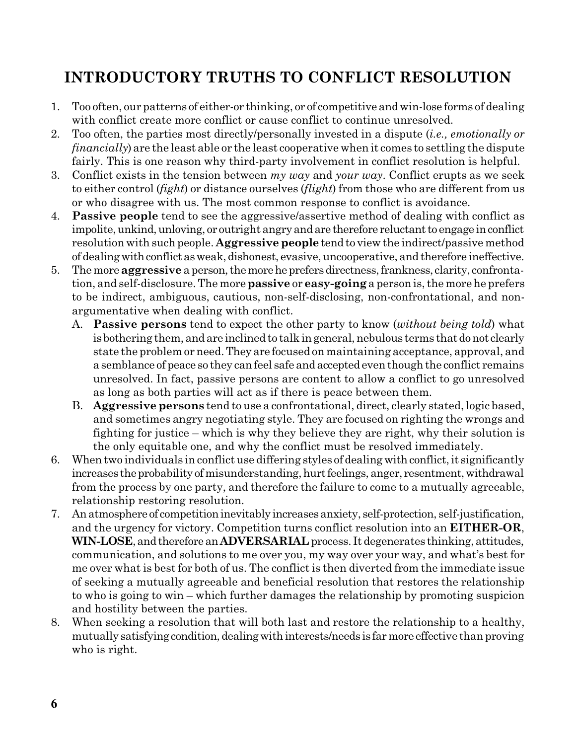# **INTRODUCTORY TRUTHS TO CONFLICT RESOLUTION**

- 1. Too often, our patterns of either-or thinking, or of competitive andwin-lose forms of dealing with conflict create more conflict or cause conflict to continue unresolved.
- 2. Too often, the parties most directly/personally invested in a dispute (*i.e., emotionally or financially*) are the least able or the least cooperative when it comes to settling the dispute fairly. This is one reason why third-party involvement in conflict resolution is helpful.
- 3. Conflict exists in the tension between *my way* and *your way*. Conflict erupts as we seek to either control (*fight*) or distance ourselves (*flight*) from those who are different from us or who disagree with us. The most common response to conflict is avoidance.
- 4. **Passive people** tend to see the aggressive/assertive method of dealing with conflict as impolite, unkind, unloving, or outright angry and are therefore reluctant to engage in conflict resolution with such people. **Aggressive people** tend to view the indirect/passive method of dealing with conflict as weak, dishonest, evasive, uncooperative, and therefore ineffective.
- 5. The more **aggressive** a person, the more he prefers directness, frankness, clarity, confrontation, and self-disclosure. The more**passive** or **easy-going** a person is, the more he prefers to be indirect, ambiguous, cautious, non-self-disclosing, non-confrontational, and nonargumentative when dealing with conflict.
	- A. **Passive persons** tend to expect the other party to know (*without being told*) what is bothering them, and are inclined to talk in general, nebulous terms that do not clearly state the problem or need.They are focused on maintaining acceptance, approval, and a semblance of peace so they can feel safe and accepted even though the conflict remains unresolved. In fact, passive persons are content to allow a conflict to go unresolved as long as both parties will act as if there is peace between them.
	- B. **Aggressive persons** tend to use a confrontational, direct, clearly stated, logic based, and sometimes angry negotiating style. They are focused on righting the wrongs and fighting for justice – which is why they believe they are right, why their solution is the only equitable one, and why the conflict must be resolved immediately.
- 6. When two individuals in conflict use differing styles of dealing with conflict, it significantly increases the probability of misunderstanding, hurt feelings, anger, resentment, withdrawal from the process by one party, and therefore the failure to come to a mutually agreeable, relationship restoring resolution.
- 7. Anatmosphere of competitioninevitably increasesanxiety, self-protection, self-justification, and the urgency for victory. Competition turns conflict resolution into an **EITHER-OR**, **WIN-LOSE**,andtherefore an**ADVERSARIAL** process. It degenerates thinking, attitudes, communication, and solutions to me over you, my way over your way, and what's best for me over what is best for both of us. The conflict is then diverted from the immediate issue of seeking a mutually agreeable and beneficial resolution that restores the relationship to who is going to win – which further damages the relationship by promoting suspicion and hostility between the parties.
- 8. When seeking a resolution that will both last and restore the relationship to a healthy, mutually satisfying condition, dealing with interests/needs is far more effective than proving who is right.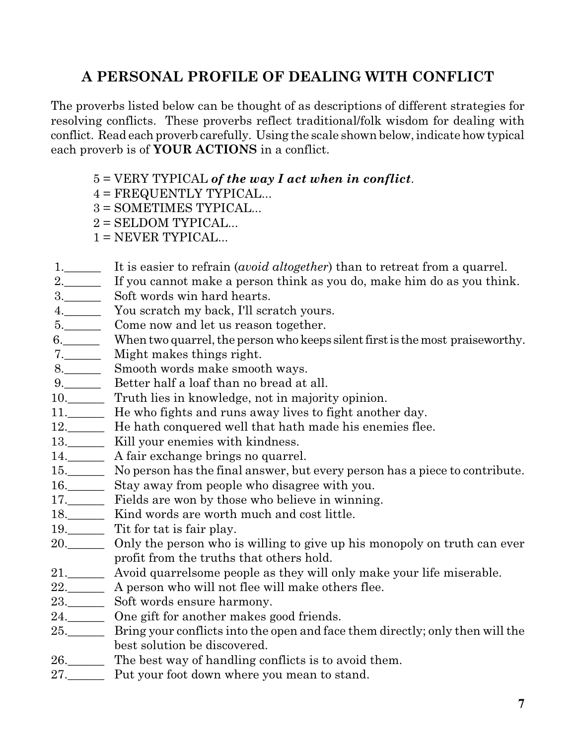# **A PERSONAL PROFILE OF DEALING WITH CONFLICT**

The proverbs listed below can be thought of as descriptions of different strategies for resolving conflicts. These proverbs reflect traditional/folk wisdom for dealing with conflict. Read each proverb carefully. Using the scale shown below,indicate how typical each proverb is of **YOUR ACTIONS** in a conflict.

- 5 = VERY TYPICAL *of the way I act when in conflict*.
- 4 = FREQUENTLY TYPICAL...
- 3 = SOMETIMES TYPICAL...
- $2 =$  SELDOM TYPICAL...
- $1 = NEVER TYPICAL...$
- 1. It is easier to refrain *(avoid altogether)* than to retreat from a quarrel.
- 2.\_\_\_\_\_\_ If you cannot make a person think as you do, make him do as you think.
- 3.\_\_\_\_\_\_ Soft words win hard hearts.
- 4. You scratch my back, I'll scratch yours.
- 5.\_\_\_\_\_\_\_\_ Come now and let us reason together.
- 6. When two quarrel, the person who keeps silent first is the most praiseworthy.
- 7.\_\_\_\_\_\_ Might makes things right.
- 8. Smooth words make smooth ways.
- 9. Better half a loaf than no bread at all.
- 10.\_\_\_\_\_\_ Truth lies in knowledge, not in majority opinion.
- 11.\_\_\_\_\_\_ He who fights and runs away lives to fight another day.
- 12. He hath conquered well that hath made his enemies flee.
- 13.\_\_\_\_\_\_\_\_ Kill your enemies with kindness.
- 14.\_\_\_\_\_\_ A fair exchange brings no quarrel.
- 15.\_\_\_\_\_\_ No person has the final answer, but every person has a piece to contribute.
- 16.\_\_\_\_\_\_ Stay away from people who disagree with you.
- 17.\_\_\_\_\_\_ Fields are won by those who believe in winning.
- 18.\_\_\_\_\_\_ Kind words are worth much and cost little.
- 19.\_\_\_\_\_\_\_ Tit for tat is fair play.
- 20.\_\_\_\_\_\_ Only the person who is willing to give up his monopoly on truth can ever profit from the truths that others hold.
- 21.\_\_\_\_\_\_ Avoid quarrelsome people as they will only make your life miserable.
- 22.\_\_\_\_\_\_ A person who will not flee will make others flee.
- 23.\_\_\_\_\_\_ Soft words ensure harmony.
- 24.\_\_\_\_\_\_ One gift for another makes good friends.
- 25.\_\_\_\_\_\_ Bring your conflicts into the open and face them directly; only then will the best solution be discovered.
- 26.\_\_\_\_\_\_ The best way of handling conflicts is to avoid them.
- 27. Put your foot down where you mean to stand.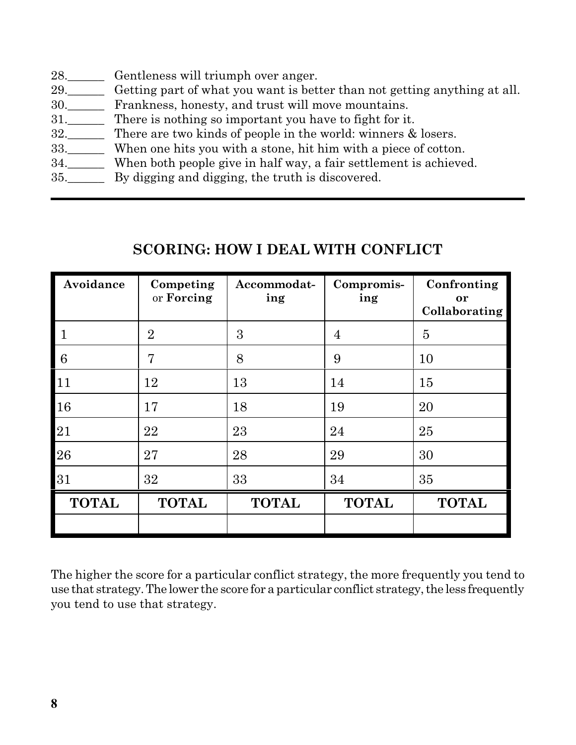- 28. Gentleness will triumph over anger.
- 29.\_\_\_\_\_\_ Getting part of what you want is better than not getting anything at all.
- 30.\_\_\_\_\_\_ Frankness, honesty, and trust will move mountains.
- 31.\_\_\_\_\_\_ There is nothing so important you have to fight for it.
- 32.\_\_\_\_\_\_ There are two kinds of people in the world: winners & losers.
- 33.\_\_\_\_\_\_ When one hits you with a stone, hit him with a piece of cotton.
- 34.\_\_\_\_\_\_ When both people give in half way, a fair settlement is achieved.
- 35. By digging and digging, the truth is discovered.

# **SCORING: HOW I DEAL WITH CONFLICT**

| Avoidance    | Competing<br>or Forcing | Accommodat-<br>ing | Compromis-<br>ing | Confronting<br>or<br>Collaborating |
|--------------|-------------------------|--------------------|-------------------|------------------------------------|
| $\mathbf{1}$ | $\overline{2}$          | 3                  | $\overline{4}$    | $\overline{5}$                     |
| 6            | 7                       | 8                  | 9                 | 10                                 |
| 11           | 12                      | 13                 | 14                | 15                                 |
| 16           | 17                      | 18                 | 19                | 20                                 |
| 21           | 22                      | 23                 | 24                | 25                                 |
| 26           | 27                      | 28                 | 29                | 30                                 |
| 31           | 32                      | 33                 | 34                | 35                                 |
| <b>TOTAL</b> | <b>TOTAL</b>            | <b>TOTAL</b>       | <b>TOTAL</b>      | <b>TOTAL</b>                       |
|              |                         |                    |                   |                                    |

The higher the score for a particular conflict strategy, the more frequently you tend to use that strategy. The lower the score for a particular conflict strategy, the less frequently you tend to use that strategy.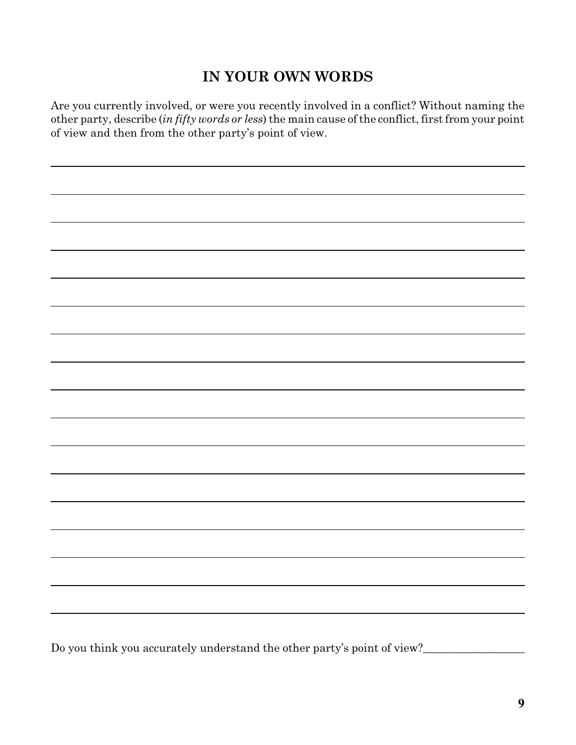# **IN YOUR OWN WORDS**

Are you currently involved, or were you recently involved in a conflict? Without naming the other party, describe (*in fifty words or less*) the main cause of the conflict, first from your point of view and then from the other party's point of view.

Do you think you accurately understand the other party's point of view?\_\_\_\_\_\_\_\_\_\_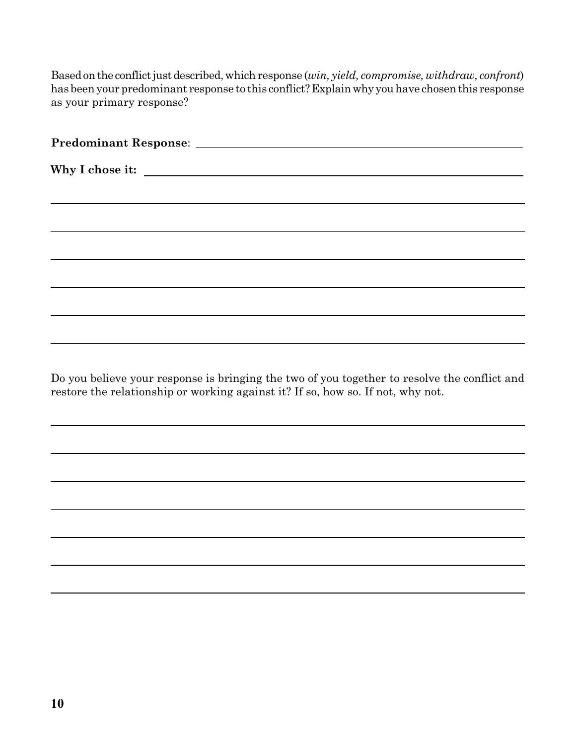Based on the conflict just described, which response (*win, yield, compromise, withdraw, confront*) has beenyour predominant response to this conflict?Explainwhy youhave chosenthis response as your primary response?

Do you believe your response is bringing the two of you together to resolve the conflict and restore the relationship or working against it? If so, how so. If not, why not.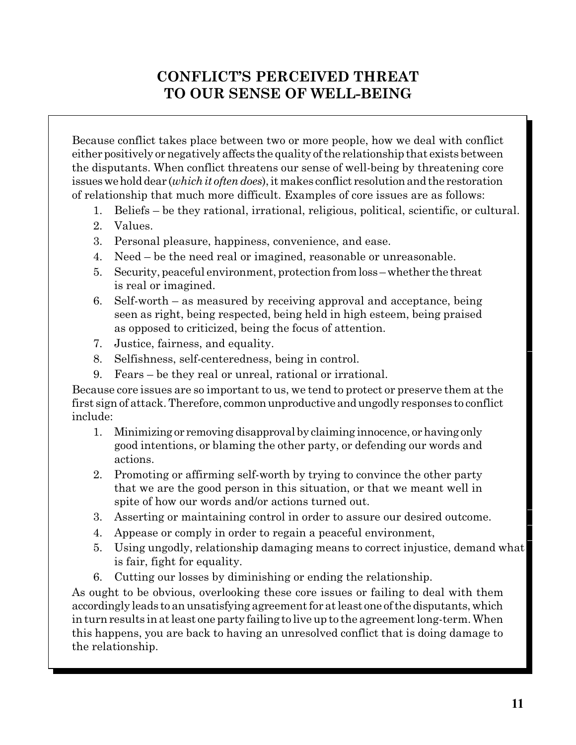# **CONFLICT'S PERCEIVED THREAT TO OUR SENSE OF WELL-BEING**

Because conflict takes place between two or more people, how we deal with conflict either positively or negatively affects the quality of the relationship that exists between the disputants. When conflict threatens our sense of well-being by threatening core issues we hold dear *(which it often does)*, it makes conflict resolution and the restoration of relationship that much more difficult. Examples of core issues are as follows:

- 1. Beliefs be they rational, irrational, religious, political, scientific, or cultural.
- 2. Values.
- 3. Personal pleasure, happiness, convenience, and ease.
- 4. Need be the need real or imagined, reasonable or unreasonable.
- 5. Security, peaceful environment, protection fromloss –whether the threat is real or imagined.
- 6. Self-worth as measured by receiving approval and acceptance, being seen as right, being respected, being held in high esteem, being praised as opposed to criticized, being the focus of attention.
- 7. Justice, fairness, and equality.
- 8. Selfishness, self-centeredness, being in control.
- 9. Fears be they real or unreal, rational or irrational.

Because core issues are so important to us, we tend to protect or preserve them at the first sign of attack. Therefore, common unproductive and ungodly responses to conflict include:

- 1. Minimizing or removing disapproval by claiming innocence, orhaving only good intentions, or blaming the other party, or defending our words and actions.
- 2. Promoting or affirming self-worth by trying to convince the other party that we are the good person in this situation, or that we meant well in spite of how our words and/or actions turned out.
- 3. Asserting or maintaining control in order to assure our desired outcome.
- 4. Appease or comply in order to regain a peaceful environment,
- 5. Using ungodly, relationship damaging means to correct injustice, demand what is fair, fight for equality.
- 6. Cutting our losses by diminishing or ending the relationship.

As ought to be obvious, overlooking these core issues or failing to deal with them accordingly leads to an unsatisfying agreement for at least one of the disputants, which in turn results inatleast one party failing to live up to the agreement long-term. When this happens, you are back to having an unresolved conflict that is doing damage to the relationship.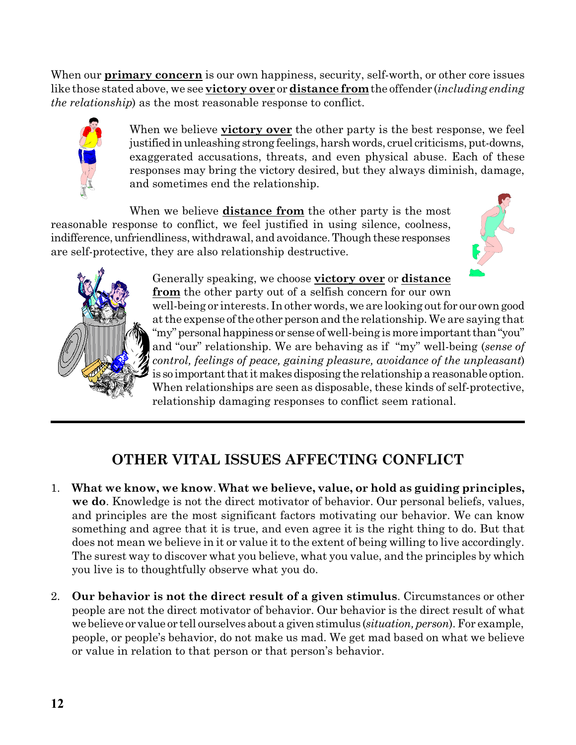When our **primary concern** is our own happiness, security, self-worth, or other core issues like those stated above, we see **victory over** or **distance from**the offender (*including ending the relationship*) as the most reasonable response to conflict.



When we believe **victory over** the other party is the best response, we feel justified in unleashing strong feelings, harsh words, cruel criticisms, put-downs, exaggerated accusations, threats, and even physical abuse. Each of these responses may bring the victory desired, but they always diminish, damage, and sometimes end the relationship.

When we believe **distance from** the other party is the most reasonable response to conflict, we feel justified in using silence, coolness, indifference, unfriendliness, withdrawal, and avoidance. Though these responses are self-protective, they are also relationship destructive.





Generally speaking, we choose **victory over** or **distance from** the other party out of a selfish concern for our own well-being or interests. In other words, we are looking out for our owngood at the expense of the other person and the relationship. We are saying that "my" personal happiness or sense of well-being is more important than "you" and "our" relationship. We are behaving as if "my" well-being (*sense of control, feelings of peace, gaining pleasure, avoidance of the unpleasant*) is so important that it makes disposing the relationship a reasonable option. When relationships are seen as disposable, these kinds of self-protective, relationship damaging responses to conflict seem rational.

# **OTHER VITAL ISSUES AFFECTING CONFLICT**

- 1. **What we know, we know**. **What we believe, value, or hold as guiding principles, we do**. Knowledge is not the direct motivator of behavior. Our personal beliefs, values, and principles are the most significant factors motivating our behavior. We can know something and agree that it is true, and even agree it is the right thing to do. But that does not mean we believe in it or value it to the extent of being willing to live accordingly. The surest way to discover what you believe, what you value, and the principles by which you live is to thoughtfully observe what you do.
- 2. **Our behavior is not the direct result of a given stimulus**. Circumstances or other people are not the direct motivator of behavior. Our behavior is the direct result of what we believe or value or tell ourselves about a givenstimulus (*situation, person*). For example, people, or people's behavior, do not make us mad. We get mad based on what we believe or value in relation to that person or that person's behavior.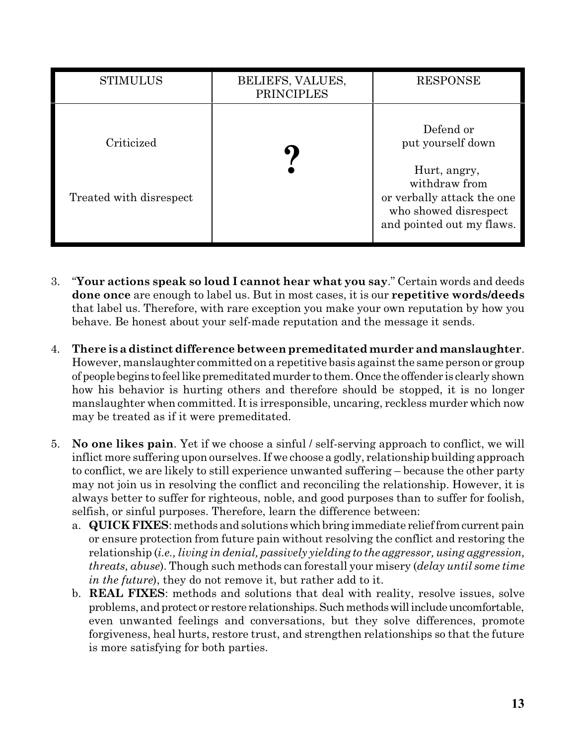| <b>STIMULUS</b>                       | BELIEFS, VALUES,<br><b>PRINCIPLES</b> | <b>RESPONSE</b>                                                                                                                                     |
|---------------------------------------|---------------------------------------|-----------------------------------------------------------------------------------------------------------------------------------------------------|
| Criticized<br>Treated with disrespect |                                       | Defend or<br>put yourself down<br>Hurt, angry,<br>withdraw from<br>or verbally attack the one<br>who showed disrespect<br>and pointed out my flaws. |

- 3. "**Your actions speak so loud I cannot hear what you say**." Certain words and deeds **done once** are enough to label us. But in most cases, it is our **repetitive words/deeds** that label us. Therefore, with rare exception you make your own reputation by how you behave. Be honest about your self-made reputation and the message it sends.
- 4. **There is adistinct difference betweenpremeditated murder and manslaughter**. However, manslaughter committed on a repetitive basis against the same person or group of people begins to feellikepremeditatedmurder to them.Once the offender is clearly shown how his behavior is hurting others and therefore should be stopped, it is no longer manslaughter when committed. It is irresponsible, uncaring, reckless murder which now may be treated as if it were premeditated.
- 5. **No one likes pain**. Yet if we choose a sinful / self-serving approach to conflict, we will inflict more suffering upon ourselves. If we choose a godly, relationship building approach to conflict, we are likely to still experience unwanted suffering – because the other party may not join us in resolving the conflict and reconciling the relationship. However, it is always better to suffer for righteous, noble, and good purposes than to suffer for foolish, selfish, or sinful purposes. Therefore, learn the difference between:
	- a. **QUICK FIXES**: methods and solutionswhichbring immediate relieffromcurrent pain or ensure protection from future pain without resolving the conflict and restoring the relationship (*i.e., living in denial, passively yielding to the aggressor, using aggression, threats, abuse*). Though such methods can forestall your misery (*delay until some time in the future*), they do not remove it, but rather add to it.
	- b. **REAL FIXES**: methods and solutions that deal with reality, resolve issues, solve problems, and protect or restore relationships.Suchmethodswillincludeuncomfortable, even unwanted feelings and conversations, but they solve differences, promote forgiveness, heal hurts, restore trust, and strengthen relationships so that the future is more satisfying for both parties.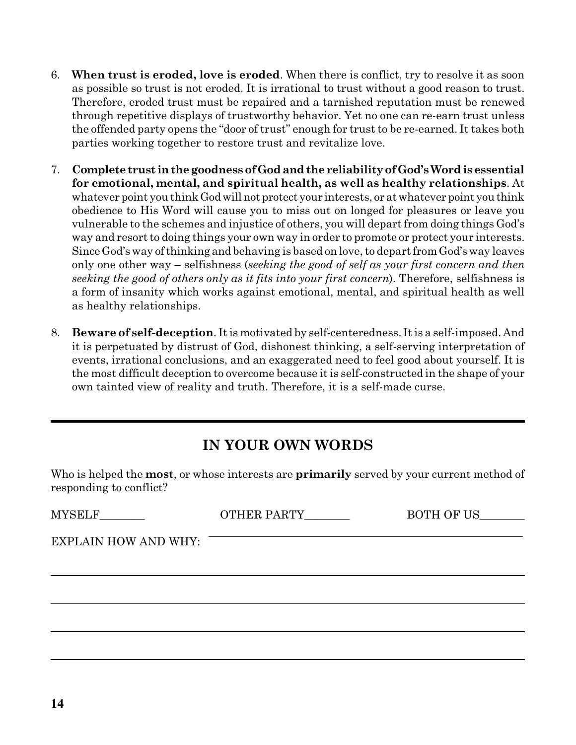- 6. **When trust is eroded, love is eroded**. When there is conflict, try to resolve it as soon as possible so trust is not eroded. It is irrational to trust without a good reason to trust. Therefore, eroded trust must be repaired and a tarnished reputation must be renewed through repetitive displays of trustworthy behavior. Yet no one can re-earn trust unless the offended party opens the "door of trust" enough for trust to be re-earned. It takes both parties working together to restore trust and revitalize love.
- 7. **Complete trust inthegoodnessof Godandthe reliabilityof God'sWordis essential for emotional, mental, and spiritual health, as well as healthy relationships**. At whatever point you think God will not protect your interests, or at whatever point you think obedience to His Word will cause you to miss out on longed for pleasures or leave you vulnerable to the schemes and injustice of others, you will depart from doing things God's way and resort to doing things your own way in order to promote or protect your interests. Since God's way ofthinking and behaving is based on love, to depart from God's way leaves only one other way – selfishness (*seeking the good of self as your first concern and then seeking the good of others only as it fits into your first concern*). Therefore, selfishness is a form of insanity which works against emotional, mental, and spiritual health as well as healthy relationships.
- 8. **Beware of self-deception**. It is motivated by self-centeredness. It is a self-imposed. And it is perpetuated by distrust of God, dishonest thinking, a self-serving interpretation of events, irrational conclusions, and an exaggerated need to feel good about yourself. It is the most difficult deception to overcome because it is self-constructed in the shape of your own tainted view of reality and truth. Therefore, it is a self-made curse.

## **IN YOUR OWN WORDS**

Who is helped the **most**, or whose interests are **primarily** served by your current method of responding to conflict?

| MYSELF__________            | OTHER PARTY | BOTH OF US |
|-----------------------------|-------------|------------|
| <b>EXPLAIN HOW AND WHY:</b> |             |            |
|                             |             |            |
|                             |             |            |
|                             |             |            |
|                             |             |            |
|                             |             |            |
|                             |             |            |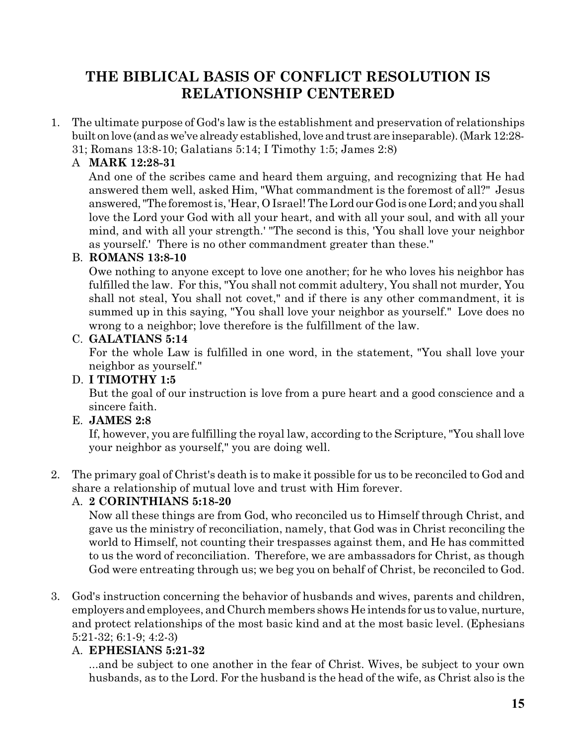# **THE BIBLICAL BASIS OF CONFLICT RESOLUTION IS RELATIONSHIP CENTERED**

1. The ultimate purpose of God's law is the establishment and preservation of relationships built on love (and as we've already established, love and trust are inseparable). (Mark 12:28-31; Romans 13:8-10; Galatians 5:14; I Timothy 1:5; James 2:8)

## A **MARK 12:28-31**

And one of the scribes came and heard them arguing, and recognizing that He had answered them well, asked Him, "What commandment is the foremost of all?" Jesus answered,"The foremostis, 'Hear, O Israel! The Lord our God is one Lord; and youshall love the Lord your God with all your heart, and with all your soul, and with all your mind, and with all your strength.' "The second is this, 'You shall love your neighbor as yourself.' There is no other commandment greater than these."

## B. **ROMANS 13:8-10**

Owe nothing to anyone except to love one another; for he who loves his neighbor has fulfilled the law. For this, "You shall not commit adultery, You shall not murder, You shall not steal, You shall not covet," and if there is any other commandment, it is summed up in this saying, "You shall love your neighbor as yourself." Love does no wrong to a neighbor; love therefore is the fulfillment of the law.

## C. **GALATIANS 5:14**

For the whole Law is fulfilled in one word, in the statement, "You shall love your neighbor as yourself."

## D. **I TIMOTHY 1:5**

But the goal of our instruction is love from a pure heart and a good conscience and a sincere faith.

### E. **JAMES 2:8**

If, however, you are fulfilling the royal law, according to the Scripture, "You shall love your neighbor as yourself," you are doing well.

2. The primary goal of Christ's death is to make it possible for us to be reconciled to God and share a relationship of mutual love and trust with Him forever.

## A. **2 CORINTHIANS 5:18-20**

Now all these things are from God, who reconciled us to Himself through Christ, and gave us the ministry of reconciliation, namely, that God was in Christ reconciling the world to Himself, not counting their trespasses against them, and He has committed to us the word of reconciliation. Therefore, we are ambassadors for Christ, as though God were entreating through us; we beg you on behalf of Christ, be reconciled to God.

3. God's instruction concerning the behavior of husbands and wives, parents and children, employers and employees, and Church members shows He intends for us to value, nurture, and protect relationships of the most basic kind and at the most basic level. (Ephesians 5:21-32; 6:1-9; 4:2-3)

## A. **EPHESIANS 5:21-32**

...and be subject to one another in the fear of Christ. Wives, be subject to your own husbands, as to the Lord. For the husband is the head of the wife, as Christ also is the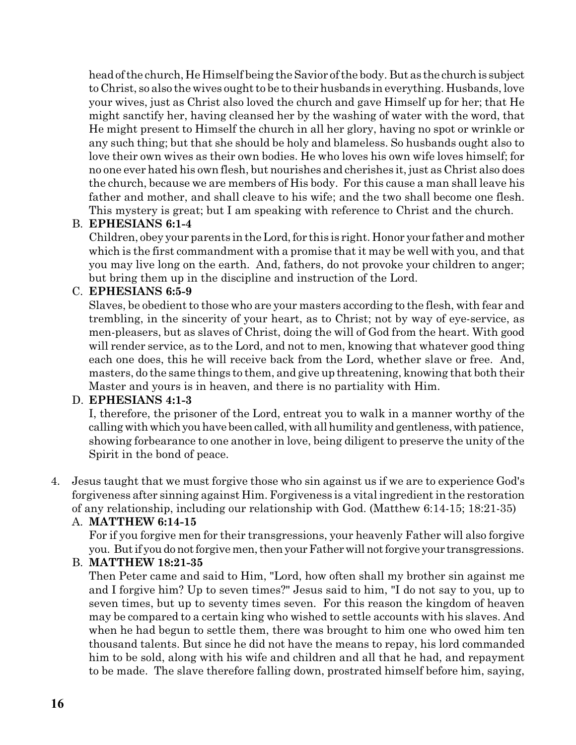headofthe church, He Himself being the Savior of the body. But as the churchis subject to Christ, so also the wives ought to be to their husbands in everything. Husbands, love your wives, just as Christ also loved the church and gave Himself up for her; that He might sanctify her, having cleansed her by the washing of water with the word, that He might present to Himself the church in all her glory, having no spot or wrinkle or any such thing; but that she should be holy and blameless. So husbands ought also to love their own wives as their own bodies. He who loves his own wife loves himself; for no one ever hated his own flesh, but nourishes and cherishes it, just as Christ also does the church, because we are members of His body. For this cause a man shall leave his father and mother, and shall cleave to his wife; and the two shall become one flesh. This mystery is great; but I am speaking with reference to Christ and the church.

### B. **EPHESIANS 6:1-4**

Children, obey your parents in the Lord, for this is right. Honor your father and mother which is the first commandment with a promise that it may be well with you, and that you may live long on the earth. And, fathers, do not provoke your children to anger; but bring them up in the discipline and instruction of the Lord.

### C. **EPHESIANS 6:5-9**

Slaves, be obedient to those who are your masters according to the flesh, with fear and trembling, in the sincerity of your heart, as to Christ; not by way of eye-service, as men-pleasers, but as slaves of Christ, doing the will of God from the heart. With good will render service, as to the Lord, and not to men, knowing that whatever good thing each one does, this he will receive back from the Lord, whether slave or free. And, masters, do the same things to them, and give up threatening, knowing that both their Master and yours is in heaven, and there is no partiality with Him.

### D. **EPHESIANS 4:1-3**

I, therefore, the prisoner of the Lord, entreat you to walk in a manner worthy of the calling with which you have been called, with all humility and gentleness, with patience, showing forbearance to one another in love, being diligent to preserve the unity of the Spirit in the bond of peace.

4. Jesus taught that we must forgive those who sin against us if we are to experience God's forgiveness after sinning against Him. Forgiveness is a vital ingredient in the restoration of any relationship, including our relationship with God. (Matthew 6:14-15; 18:21-35)

### A. **MATTHEW 6:14-15**

For if you forgive men for their transgressions, your heavenly Father will also forgive you. But if you do not forgive men, then your Father will not forgive your transgressions.

### B. **MATTHEW 18:21-35**

Then Peter came and said to Him, "Lord, how often shall my brother sin against me and I forgive him? Up to seven times?" Jesus said to him, "I do not say to you, up to seven times, but up to seventy times seven. For this reason the kingdom of heaven may be compared to a certain king who wished to settle accounts with his slaves. And when he had begun to settle them, there was brought to him one who owed him ten thousand talents. But since he did not have the means to repay, his lord commanded him to be sold, along with his wife and children and all that he had, and repayment to be made. The slave therefore falling down, prostrated himself before him, saying,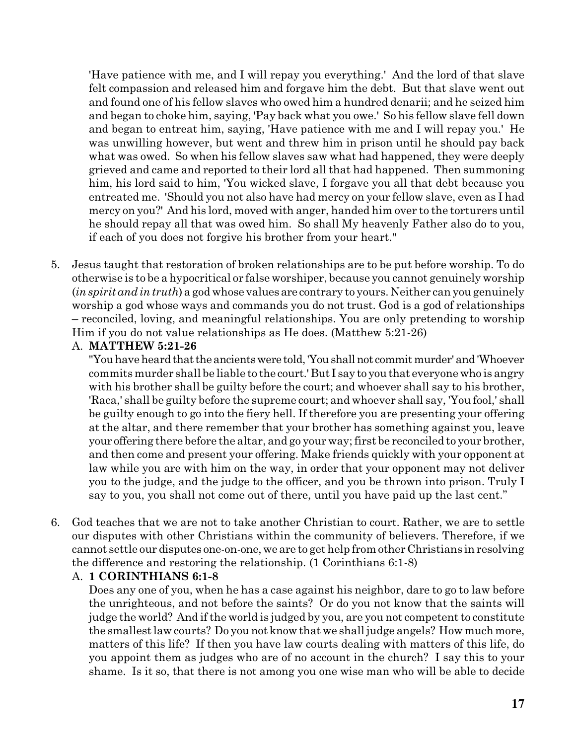'Have patience with me, and I will repay you everything.' And the lord of that slave felt compassion and released him and forgave him the debt. But that slave went out and found one of his fellow slaves who owed him a hundred denarii; and he seized him and began to choke him, saying, 'Pay back what you owe.' So his fellow slave fell down and began to entreat him, saying, 'Have patience with me and I will repay you.' He was unwilling however, but went and threw him in prison until he should pay back what was owed. So when his fellow slaves saw what had happened, they were deeply grieved and came and reported to their lord all that had happened. Then summoning him, his lord said to him, 'You wicked slave, I forgave you all that debt because you entreated me. 'Should you not also have had mercy on your fellow slave, even as I had mercy on you?' And his lord, moved with anger, handed him over to the torturers until he should repay all that was owed him. So shall My heavenly Father also do to you, if each of you does not forgive his brother from your heart."

5. Jesus taught that restoration of broken relationships are to be put before worship. To do otherwise is to be a hypocritical or false worshiper, because you cannot genuinely worship (*in spirit and in truth*) a god whose values are contrary to yours. Neither can you genuinely worship a god whose ways and commands you do not trust. God is a god of relationships – reconciled, loving, and meaningful relationships. You are only pretending to worship Him if you do not value relationships as He does. (Matthew 5:21-26)

### A. **MATTHEW 5:21-26**

"You have heard that the ancients were told, 'You shall not commit murder' and 'Whoever commits murder shall be liable to the court.'But I say to youthat everyone who is angry with his brother shall be guilty before the court; and whoever shall say to his brother, 'Raca,' shall be guilty before the supreme court; and whoever shall say, 'You fool,' shall be guilty enough to go into the fiery hell. If therefore you are presenting your offering at the altar, and there remember that your brother has something against you, leave your offering there before the altar, and go your way; first be reconciled to your brother, and then come and present your offering. Make friends quickly with your opponent at law while you are with him on the way, in order that your opponent may not deliver you to the judge, and the judge to the officer, and you be thrown into prison. Truly I say to you, you shall not come out of there, until you have paid up the last cent."

6. God teaches that we are not to take another Christian to court. Rather, we are to settle our disputes with other Christians within the community of believers. Therefore, if we cannot settle our disputes one-on-one,we are to get help from other Christians in resolving the difference and restoring the relationship. (1 Corinthians 6:1-8)

### A. **1 CORINTHIANS 6:1-8**

Does any one of you, when he has a case against his neighbor, dare to go to law before the unrighteous, and not before the saints? Or do you not know that the saints will judge the world? And if the world is judged by you, are you not competent to constitute the smallest law courts? Do you not know that we shall judge angels? How much more, matters of this life? If then you have law courts dealing with matters of this life, do you appoint them as judges who are of no account in the church? I say this to your shame. Is it so, that there is not among you one wise man who will be able to decide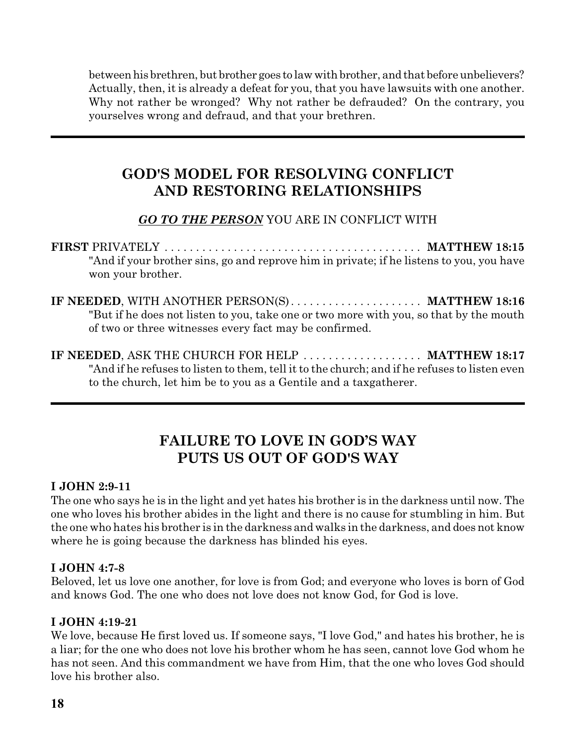between his brethren, but brother goes to law with brother, and that before unbelievers? Actually, then, it is already a defeat for you, that you have lawsuits with one another. Why not rather be wronged? Why not rather be defrauded? On the contrary, you yourselves wrong and defraud, and that your brethren.

## **GOD'S MODEL FOR RESOLVING CONFLICT AND RESTORING RELATIONSHIPS**

## *GO TO THE PERSON* YOU ARE IN CONFLICT WITH

**FIRST** PRIVATELY . . . . . . . . . . . . . . . . . . . . . . . . . . . . . . . . . . . . . . . . . **MATTHEW 18:15** "And if your brother sins, go and reprove him in private; if he listens to you, you have won your brother.

- **IF NEEDED**, WITH ANOTHER PERSON(S). . . . . . . . . . . . . . . . . . . . . **MATTHEW 18:16** "But if he does not listen to you, take one or two more with you, so that by the mouth of two or three witnesses every fact may be confirmed.
- **IF NEEDED**, ASK THE CHURCH FOR HELP . . . . . . . . . . . . . . . . . . . **MATTHEW 18:17** "And if he refuses to listen to them, tell it to the church; and if he refuses to listen even to the church, let him be to you as a Gentile and a taxgatherer.

## **FAILURE TO LOVE IN GOD'S WAY PUTS US OUT OF GOD'S WAY**

### **I JOHN 2:9-11**

The one who says he is in the light and yet hates his brother is in the darkness until now. The one who loves his brother abides in the light and there is no cause for stumbling in him. But the one who hates his brother is in the darkness and walks in the darkness, and does not know where he is going because the darkness has blinded his eyes.

## **I JOHN 4:7-8**

Beloved, let us love one another, for love is from God; and everyone who loves is born of God and knows God. The one who does not love does not know God, for God is love.

## **I JOHN 4:19-21**

We love, because He first loved us. If someone says, "I love God," and hates his brother, he is a liar; for the one who does not love his brother whom he has seen, cannot love God whom he has not seen. And this commandment we have from Him, that the one who loves God should love his brother also.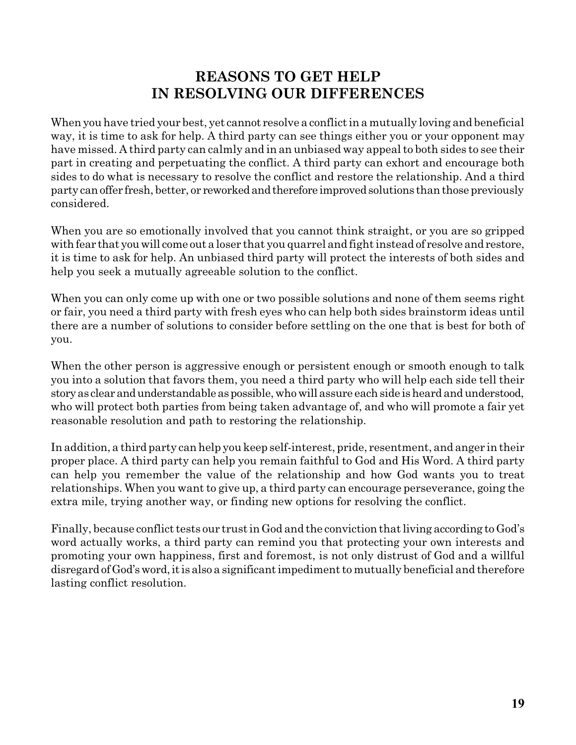## **REASONS TO GET HELP IN RESOLVING OUR DIFFERENCES**

When you have tried your best, yet cannot resolve a conflict in a mutually loving and beneficial way, it is time to ask for help. A third party can see things either you or your opponent may have missed. A third party can calmly and in an unbiased way appeal to both sides to see their part in creating and perpetuating the conflict. A third party can exhort and encourage both sides to do what is necessary to resolve the conflict and restore the relationship. And a third party canoffer fresh, better, or reworkedandtherefore improvedsolutions thanthose previously considered.

When you are so emotionally involved that you cannot think straight, or you are so gripped with fear that you will come out a loser that you quarrel and fight instead of resolve and restore, it is time to ask for help. An unbiased third party will protect the interests of both sides and help you seek a mutually agreeable solution to the conflict.

When you can only come up with one or two possible solutions and none of them seems right or fair, you need a third party with fresh eyes who can help both sides brainstorm ideas until there are a number of solutions to consider before settling on the one that is best for both of you.

When the other person is aggressive enough or persistent enough or smooth enough to talk you into a solution that favors them, you need a third party who will help each side tell their storyas clearandunderstandableaspossible,whowill assure eachside isheard andunderstood, who will protect both parties from being taken advantage of, and who will promote a fair yet reasonable resolution and path to restoring the relationship.

In addition, a third party can help you keep self-interest, pride, resentment, and anger in their proper place. A third party can help you remain faithful to God and His Word. A third party can help you remember the value of the relationship and how God wants you to treat relationships. When you want to give up, a third party can encourage perseverance, going the extra mile, trying another way, or finding new options for resolving the conflict.

Finally, because conflict tests our trust in God and the conviction that living according to God's word actually works, a third party can remind you that protecting your own interests and promoting your own happiness, first and foremost, is not only distrust of God and a willful disregard of God's word, it is also a significant impediment to mutually beneficial and therefore lasting conflict resolution.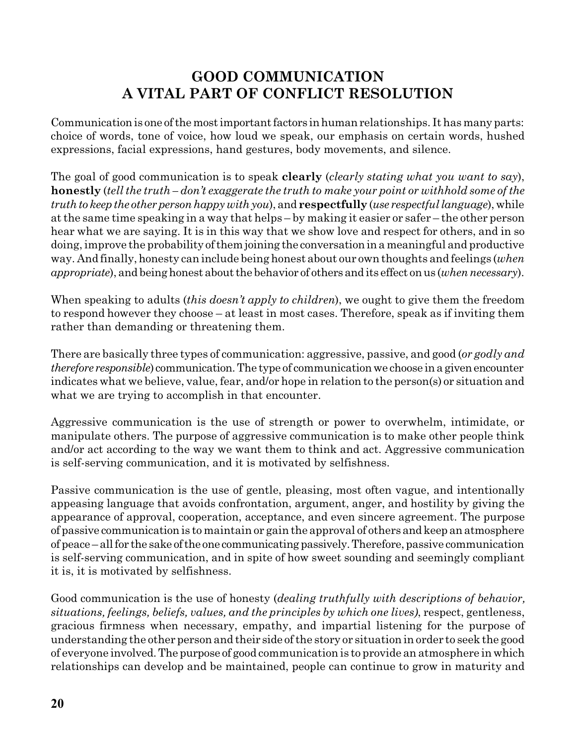## **GOOD COMMUNICATION A VITAL PART OF CONFLICT RESOLUTION**

Communication is one of the most important factors in human relationships. It has many parts: choice of words, tone of voice, how loud we speak, our emphasis on certain words, hushed expressions, facial expressions, hand gestures, body movements, and silence.

The goal of good communication is to speak **clearly** (*clearly stating what you want to say*), **honestly** (*tell the truth – don't exaggerate the truth to make your point or withhold some of the truth* to *keep* the other person happy with you), and **respectfully** (*use respectful language*), while at the same time speaking in a way that helps – by making it easier or safer – the other person hear what we are saying. It is in this way that we show love and respect for others, and in so doing, improve the probability ofthem joining the conversationina meaningful and productive way. And finally, honesty can include being honest about our own thoughts and feelings (*when appropriate*), and being honest about the behavior of others and its effect on us (*when necessary*).

When speaking to adults (*this doesn't apply to children*), we ought to give them the freedom to respond however they choose – at least in most cases. Therefore, speak as if inviting them rather than demanding or threatening them.

There are basically three types of communication: aggressive, passive, and good (*or godly and therefore responsible*) communication. The type of communication we choose in a given encounter indicates what we believe, value, fear, and/or hope in relation to the person(s) or situation and what we are trying to accomplish in that encounter.

Aggressive communication is the use of strength or power to overwhelm, intimidate, or manipulate others. The purpose of aggressive communication is to make other people think and/or act according to the way we want them to think and act. Aggressive communication is self-serving communication, and it is motivated by selfishness.

Passive communication is the use of gentle, pleasing, most often vague, and intentionally appeasing language that avoids confrontation, argument, anger, and hostility by giving the appearance of approval, cooperation, acceptance, and even sincere agreement. The purpose of passive communication is to maintain or gain the approval of othersandkeep anatmosphere of peace – allfor the sake ofthe one communicatingpassively.Therefore, passive communication is self-serving communication, and in spite of how sweet sounding and seemingly compliant it is, it is motivated by selfishness.

Good communication is the use of honesty (*dealing truthfully with descriptions of behavior, situations, feelings, beliefs, values, and the principles by which one lives)*, respect, gentleness, gracious firmness when necessary, empathy, and impartial listening for the purpose of understanding the other person and their side of the story or situation in order to seek the good of everyone involved.The purpose of good communication is to provide an atmosphere in which relationships can develop and be maintained, people can continue to grow in maturity and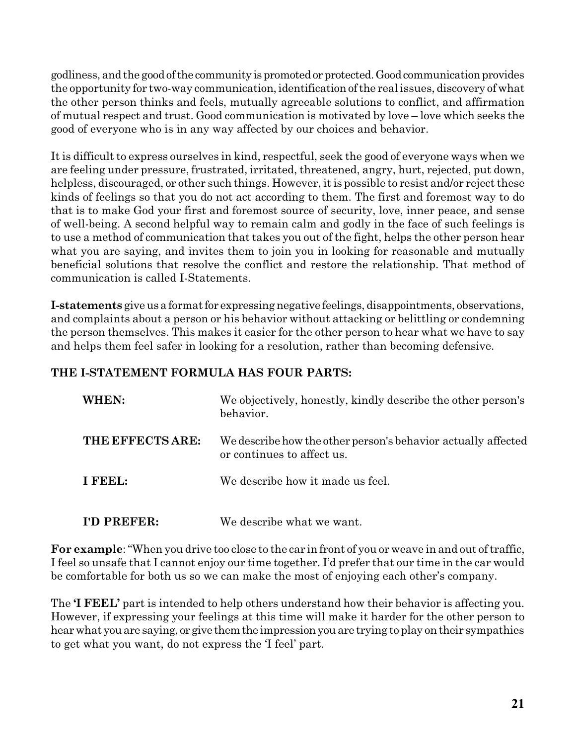godliness, and the good of the community is promoted or protected. Good communication provides the opportunity for two-way communication, identification of the real issues, discovery of what the other person thinks and feels, mutually agreeable solutions to conflict, and affirmation of mutual respect and trust. Good communication is motivated by love – love which seeks the good of everyone who is in any way affected by our choices and behavior.

It is difficult to express ourselves in kind, respectful, seek the good of everyone ways when we are feeling under pressure, frustrated, irritated, threatened, angry, hurt, rejected, put down, helpless, discouraged, or other such things. However, it is possible to resist and/or reject these kinds of feelings so that you do not act according to them. The first and foremost way to do that is to make God your first and foremost source of security, love, inner peace, and sense of well-being. A second helpful way to remain calm and godly in the face of such feelings is to use a method of communication that takes you out of the fight, helps the other person hear what you are saying, and invites them to join you in looking for reasonable and mutually beneficial solutions that resolve the conflict and restore the relationship. That method of communication is called I-Statements.

**I-statements** give us a format for expressing negative feelings, disappointments, observations, and complaints about a person or his behavior without attacking or belittling or condemning the person themselves. This makes it easier for the other person to hear what we have to say and helps them feel safer in looking for a resolution, rather than becoming defensive.

## **THE I-STATEMENT FORMULA HAS FOUR PARTS:**

| WHEN:            | We objectively, honestly, kindly describe the other person's<br>behavior.                   |
|------------------|---------------------------------------------------------------------------------------------|
| THE EFFECTS ARE: | We describe how the other person's behavior actually affected<br>or continues to affect us. |
| I FEEL:          | We describe how it made us feel.                                                            |
| I'D PREFER:      | We describe what we want.                                                                   |

**For example**: "When you drive too close to the car in front of you or weave in and out of traffic, I feel so unsafe that I cannot enjoy our time together. I'd prefer that our time in the car would be comfortable for both us so we can make the most of enjoying each other's company.

The **'I FEEL'** part is intended to help others understand how their behavior is affecting you. However, if expressing your feelings at this time will make it harder for the other person to hear what you are saying, or give them the impression you are trying to play on their sympathies to get what you want, do not express the 'I feel' part.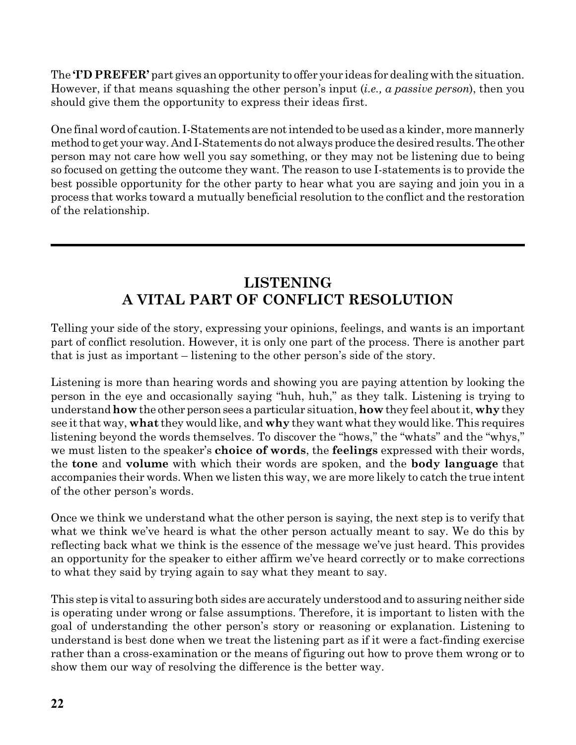The **'I'D PREFER'** part gives an opportunity to offer your ideas for dealing with the situation. However, if that means squashing the other person's input (*i.e., a passive person*), then you should give them the opportunity to express their ideas first.

One final word of caution. I-Statements arenotintended to beusedas a kinder, more mannerly method to get yourway. And I-Statements do not always produce the desired results.The other person may not care how well you say something, or they may not be listening due to being so focused on getting the outcome they want. The reason to use I-statements is to provide the best possible opportunity for the other party to hear what you are saying and join you in a process that works toward a mutually beneficial resolution to the conflict and the restoration of the relationship.

# **LISTENING A VITAL PART OF CONFLICT RESOLUTION**

Telling your side of the story, expressing your opinions, feelings, and wants is an important part of conflict resolution. However, it is only one part of the process. There is another part that is just as important – listening to the other person's side of the story.

Listening is more than hearing words and showing you are paying attention by looking the person in the eye and occasionally saying "huh, huh," as they talk. Listening is trying to understand **how** the other personsees a particular situation, **how** they feel about it, **why** they see it that way, **what** they would like, and **why** they want what they would like. This requires listening beyond the words themselves. To discover the "hows," the "whats" and the "whys," we must listen to the speaker's **choice of words**, the **feelings** expressed with their words, the **tone** and **volume** with which their words are spoken, and the **body language** that accompanies their words. When we listen this way, we are more likely to catch the true intent of the other person's words.

Once we think we understand what the other person is saying, the next step is to verify that what we think we've heard is what the other person actually meant to say. We do this by reflecting back what we think is the essence of the message we've just heard. This provides an opportunity for the speaker to either affirm we've heard correctly or to make corrections to what they said by trying again to say what they meant to say.

This step is vital to assuring both sides are accurately understood and to assuring neither side is operating under wrong or false assumptions. Therefore, it is important to listen with the goal of understanding the other person's story or reasoning or explanation. Listening to understand is best done when we treat the listening part as if it were a fact-finding exercise rather than a cross-examination or the means of figuring out how to prove them wrong or to show them our way of resolving the difference is the better way.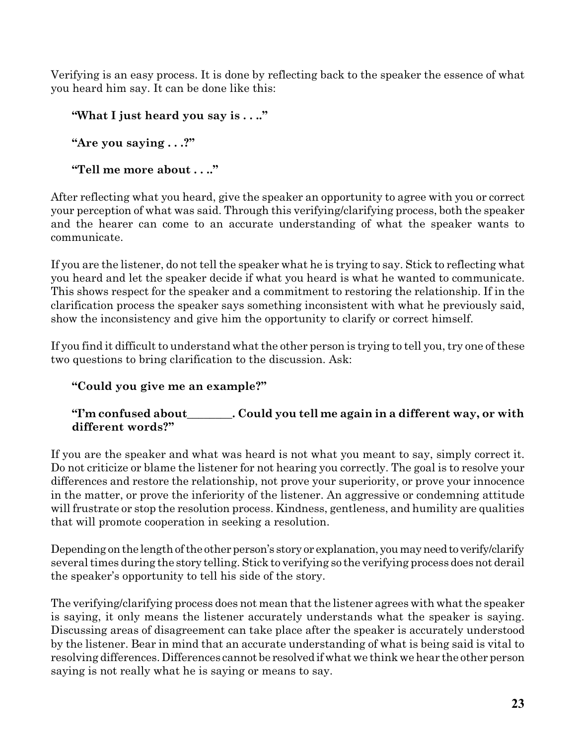Verifying is an easy process. It is done by reflecting back to the speaker the essence of what you heard him say. It can be done like this:

```
"What I just heard you say is . . .."
```
**"Are you saying . . .?"**

**"Tell me more about . . .."**

After reflecting what you heard, give the speaker an opportunity to agree with you or correct your perception of what was said. Through this verifying/clarifying process, both the speaker and the hearer can come to an accurate understanding of what the speaker wants to communicate.

If you are the listener, do not tell the speaker what he is trying to say. Stick to reflecting what you heard and let the speaker decide if what you heard is what he wanted to communicate. This shows respect for the speaker and a commitment to restoring the relationship. If in the clarification process the speaker says something inconsistent with what he previously said, show the inconsistency and give him the opportunity to clarify or correct himself.

If you find it difficult to understand what the other person is trying to tell you, try one of these two questions to bring clarification to the discussion. Ask:

## **"Could you give me an example?"**

## **"I'm confused about\_\_\_\_\_\_\_\_. Could you tell me again in a different way, or with different words?"**

If you are the speaker and what was heard is not what you meant to say, simply correct it. Do not criticize or blame the listener for not hearing you correctly. The goal is to resolve your differences and restore the relationship, not prove your superiority, or prove your innocence in the matter, or prove the inferiority of the listener. An aggressive or condemning attitude will frustrate or stop the resolution process. Kindness, gentleness, and humility are qualities that will promote cooperation in seeking a resolution.

Depending on the length of the other person's story or explanation, you may need to verify/clarify several times during the story telling. Stick to verifying so the verifying process does not derail the speaker's opportunity to tell his side of the story.

The verifying/clarifying process does not mean that the listener agrees with what the speaker is saying, it only means the listener accurately understands what the speaker is saying. Discussing areas of disagreement can take place after the speaker is accurately understood by the listener. Bear in mind that an accurate understanding of what is being said is vital to resolving differences. Differences cannot be resolved ifwhat we think we hear the other person saying is not really what he is saying or means to say.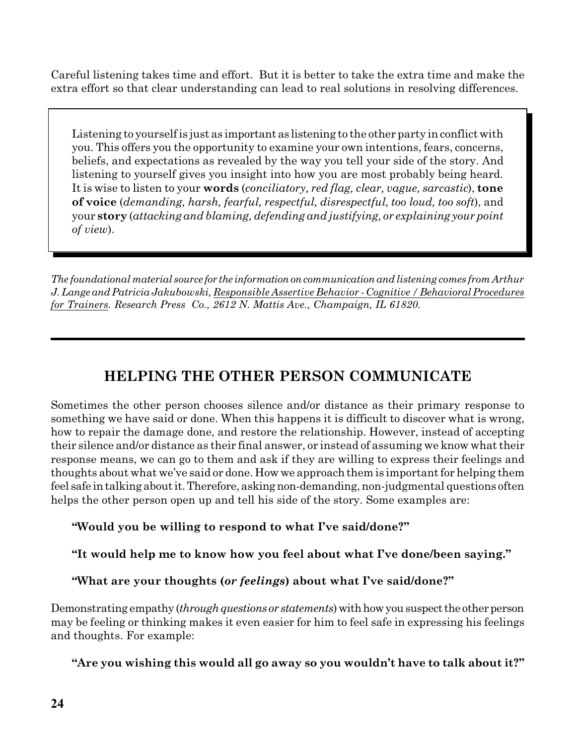Careful listening takes time and effort. But it is better to take the extra time and make the extra effort so that clear understanding can lead to real solutions in resolving differences.

Listening to yourself is just as important as listening to the other party in conflict with you. This offers you the opportunity to examine your own intentions, fears, concerns, beliefs, and expectations as revealed by the way you tell your side of the story. And listening to yourself gives you insight into how you are most probably being heard. It is wise to listen to your **words** (*conciliatory, red flag, clear, vague, sarcastic*), **tone of voice** (*demanding, harsh, fearful, respectful, disrespectful, too loud, too soft*), and your **story** (*attacking and blaming, defending and justifying, or explaining your point of view*).

*The foundational material source for the informationoncommunication andlistening comes from Arthur J.Lange andPatricia Jakubowski, Responsible Assertive Behavior - Cognitive / BehavioralProcedures for Trainers. Research Press Co., 2612 N. Mattis Ave., Champaign, IL 61820.*

# **HELPING THE OTHER PERSON COMMUNICATE**

Sometimes the other person chooses silence and/or distance as their primary response to something we have said or done. When this happens it is difficult to discover what is wrong, how to repair the damage done, and restore the relationship. However, instead of accepting their silence and/or distance as their final answer, or instead of assuming we know what their response means, we can go to them and ask if they are willing to express their feelings and thoughts about what we've said or done. How we approach them is important for helping them feel safe intalking aboutit.Therefore, askingnon-demanding,non-judgmental questions often helps the other person open up and tell his side of the story. Some examples are:

**"Would you be willing to respond to what I've said/done?"**

**"It would help me to know how you feel about what I've done/been saying."**

**"What are your thoughts (***or feelings***) about what I've said/done?"**

Demonstrating empathy *(through questions or statements)* with how you suspect the other person may be feeling or thinking makes it even easier for him to feel safe in expressing his feelings and thoughts. For example:

**"Are you wishing this would all go away so you wouldn't have to talk about it?"**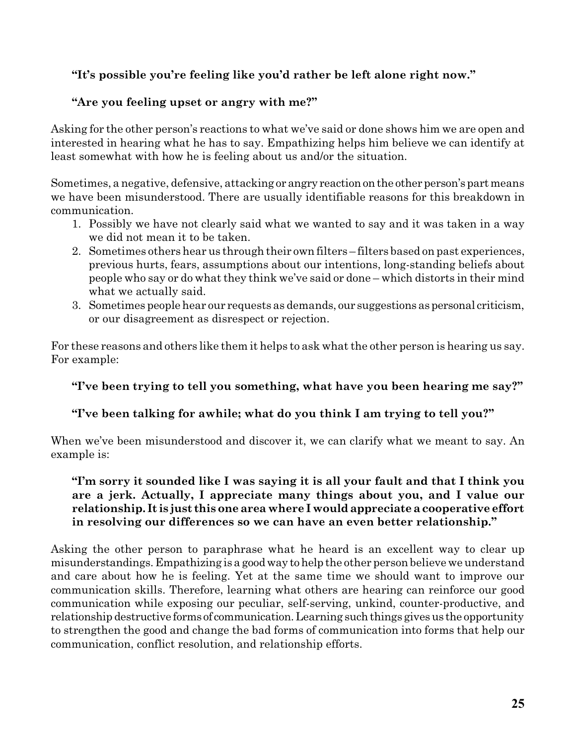## **"It's possible you're feeling like you'd rather be left alone right now."**

## **"Are you feeling upset or angry with me?"**

Asking for the other person's reactions to what we've said or done shows him we are open and interested in hearing what he has to say. Empathizing helps him believe we can identify at least somewhat with how he is feeling about us and/or the situation.

Sometimes, a negative, defensive, attacking or angry reaction on the other person's part means we have been misunderstood. There are usually identifiable reasons for this breakdown in communication.

- 1. Possibly we have not clearly said what we wanted to say and it was taken in a way we did not mean it to be taken.
- 2. Sometimes others hear us through their own filters filters based on past experiences, previous hurts, fears, assumptions about our intentions, long-standing beliefs about people who say or do what they think we've said or done – which distorts in their mind what we actually said.
- 3. Sometimes people hear our requests as demands, our suggestions as personal criticism, or our disagreement as disrespect or rejection.

For these reasons and others like them it helps to ask what the other person is hearing us say. For example:

### **"I've been trying to tell you something, what have you been hearing me say?"**

## **"I've been talking for awhile; what do you think I am trying to tell you?"**

When we've been misunderstood and discover it, we can clarify what we meant to say. An example is:

### **"I'm sorry it sounded like I was saying it is all your fault and that I think you are a jerk. Actually, I appreciate many things about you, and I value our relationship. It is just this one area where I wouldappreciate a cooperative effort in resolving our differences so we can have an even better relationship."**

Asking the other person to paraphrase what he heard is an excellent way to clear up misunderstandings. Empathizing is a goodway tohelp the other person believe we understand and care about how he is feeling. Yet at the same time we should want to improve our communication skills. Therefore, learning what others are hearing can reinforce our good communication while exposing our peculiar, self-serving, unkind, counter-productive, and relationship destructive forms of communication. Learning such things gives us the opportunity to strengthen the good and change the bad forms of communication into forms that help our communication, conflict resolution, and relationship efforts.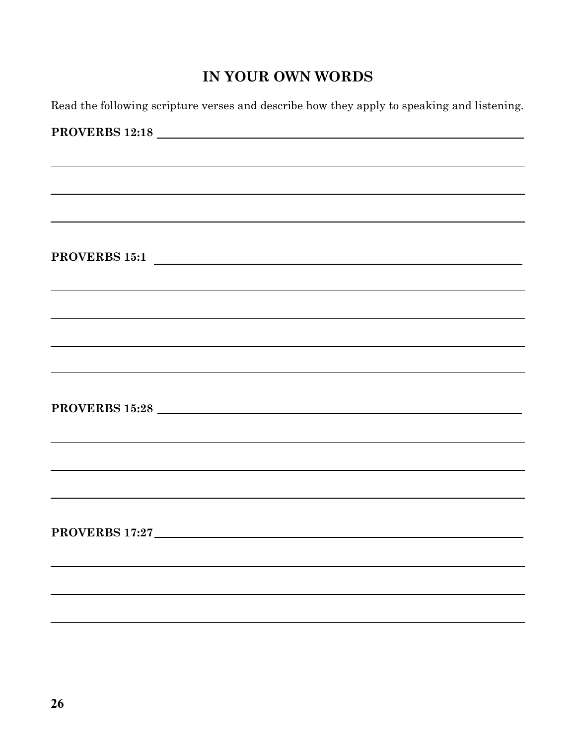# **IN YOUR OWN WORDS**

Read the following scripture verses and describe how they apply to speaking and listening.

| ,我们也不会有什么?""我们的人,我们也不会有什么?""我们的人,我们也不会有什么?""我们的人,我们也不会有什么?""我们的人,我们也不会有什么?""我们的人 |  |  |
|----------------------------------------------------------------------------------|--|--|
|                                                                                  |  |  |
| PROVERBS 15:1                                                                    |  |  |
|                                                                                  |  |  |
|                                                                                  |  |  |
|                                                                                  |  |  |
|                                                                                  |  |  |
|                                                                                  |  |  |
|                                                                                  |  |  |
|                                                                                  |  |  |
|                                                                                  |  |  |
|                                                                                  |  |  |
|                                                                                  |  |  |
|                                                                                  |  |  |
|                                                                                  |  |  |
|                                                                                  |  |  |
|                                                                                  |  |  |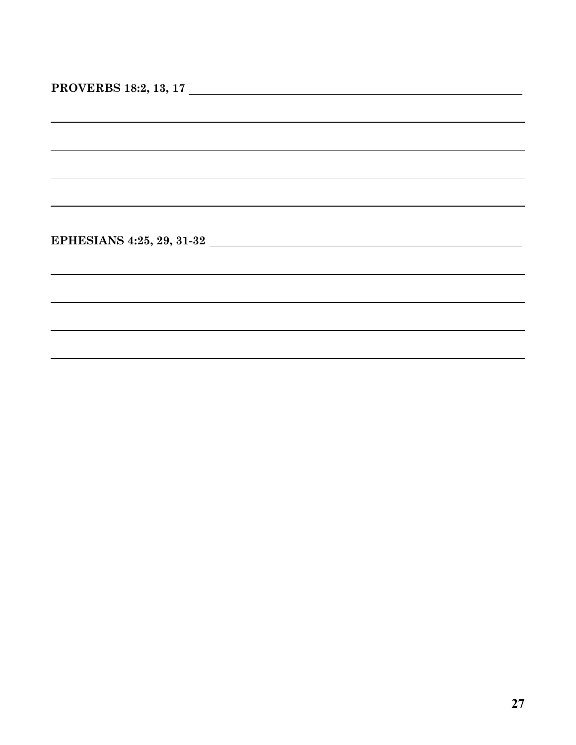| PROVERBS 18:2, 13, 17 |  |  |
|-----------------------|--|--|
|-----------------------|--|--|

**EPHESIANS 4:25, 29, 31-32**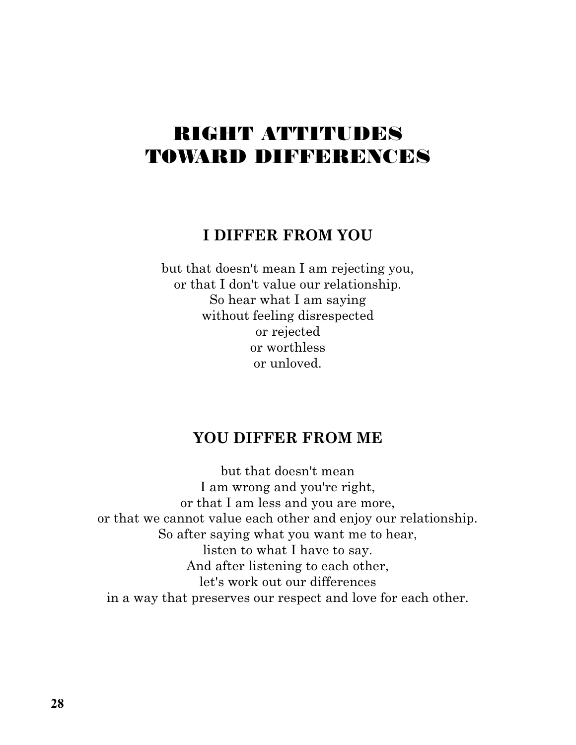# RIGHT ATTITUDES TOWARD DIFFERENCES

## **I DIFFER FROM YOU**

but that doesn't mean I am rejecting you, or that I don't value our relationship. So hear what I am saying without feeling disrespected or rejected or worthless or unloved.

# **YOU DIFFER FROM ME**

but that doesn't mean I am wrong and you're right, or that I am less and you are more, or that we cannot value each other and enjoy our relationship. So after saying what you want me to hear, listen to what I have to say. And after listening to each other, let's work out our differences in a way that preserves our respect and love for each other.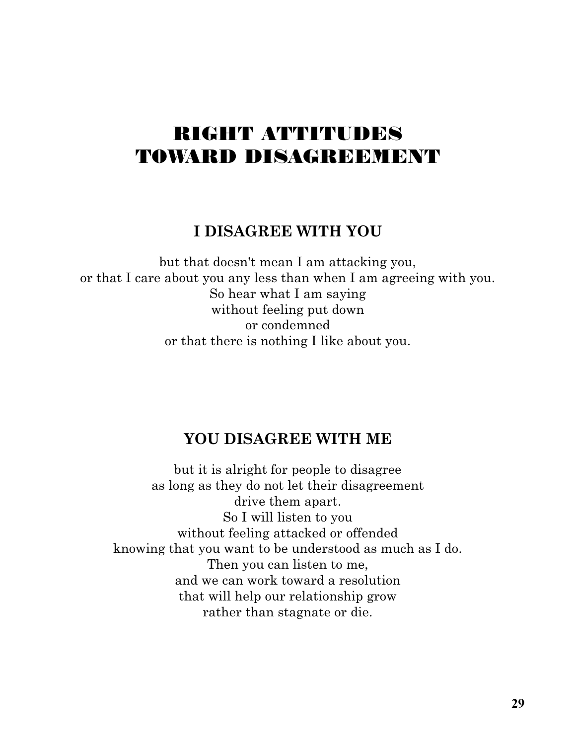# RIGHT ATTITUDES TOWARD DISAGREEMENT

# **I DISAGREE WITH YOU**

but that doesn't mean I am attacking you, or that I care about you any less than when I am agreeing with you. So hear what I am saying without feeling put down or condemned or that there is nothing I like about you.

# **YOU DISAGREE WITH ME**

but it is alright for people to disagree as long as they do not let their disagreement drive them apart. So I will listen to you without feeling attacked or offended knowing that you want to be understood as much as I do. Then you can listen to me, and we can work toward a resolution that will help our relationship grow rather than stagnate or die.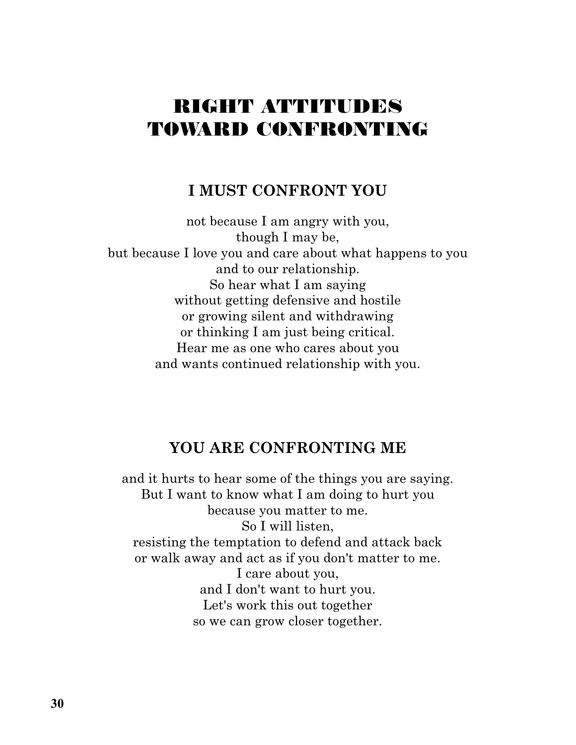# RIGHT ATTITUDES TOWARD CONFRONTING

## **I MUST CONFRONT YOU**

not because I am angry with you, though I may be, but because I love you and care about what happens to you and to our relationship. So hear what I am saying without getting defensive and hostile or growing silent and withdrawing or thinking I am just being critical. Hear me as one who cares about you and wants continued relationship with you.

## **YOU ARE CONFRONTING ME**

and it hurts to hear some of the things you are saying. But I want to know what I am doing to hurt you because you matter to me. So I will listen, resisting the temptation to defend and attack back or walk away and act as if you don't matter to me. I care about you, and I don't want to hurt you. Let's work this out together so we can grow closer together.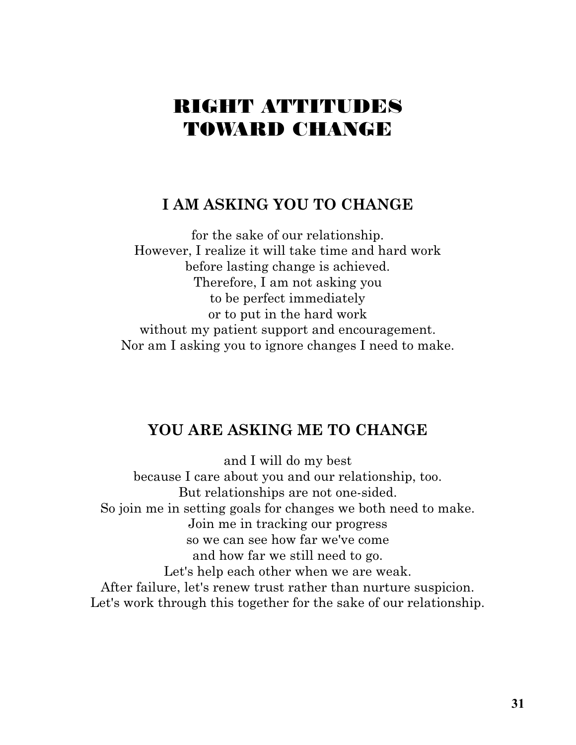# RIGHT ATTITUDES TOWARD CHANGE

# **I AM ASKING YOU TO CHANGE**

for the sake of our relationship. However, I realize it will take time and hard work before lasting change is achieved. Therefore, I am not asking you to be perfect immediately or to put in the hard work without my patient support and encouragement. Nor am I asking you to ignore changes I need to make.

# **YOU ARE ASKING ME TO CHANGE**

and I will do my best because I care about you and our relationship, too. But relationships are not one-sided. So join me in setting goals for changes we both need to make. Join me in tracking our progress so we can see how far we've come and how far we still need to go. Let's help each other when we are weak. After failure, let's renew trust rather than nurture suspicion. Let's work through this together for the sake of our relationship.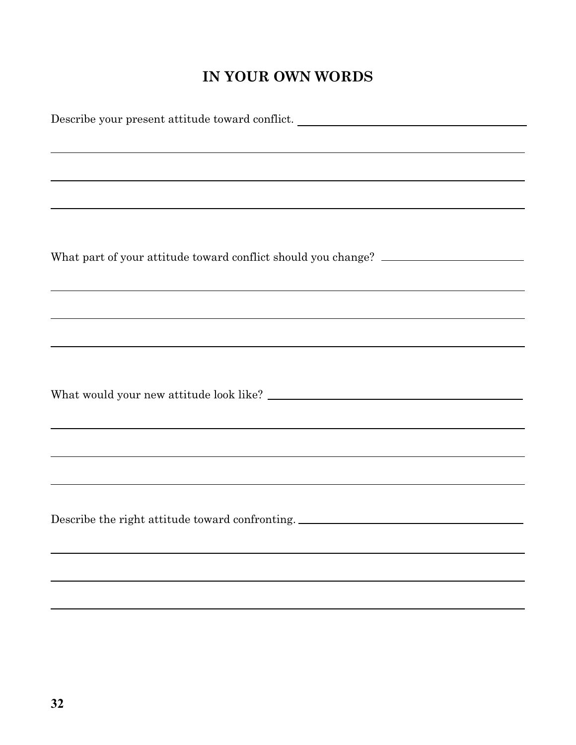# **IN YOUR OWN WORDS**

| Describe your present attitude toward conflict.                                                                 |  |  |  |  |
|-----------------------------------------------------------------------------------------------------------------|--|--|--|--|
|                                                                                                                 |  |  |  |  |
| ,我们也不会有什么。""我们的人,我们也不会有什么?""我们的人,我们也不会有什么?""我们的人,我们也不会有什么?""我们的人,我们也不会有什么?""我们的人                                |  |  |  |  |
| ,我们也不会有什么。""我们的人,我们也不会有什么?""我们的人,我们也不会有什么?""我们的人,我们也不会有什么?""我们的人,我们也不会有什么?""我们的人                                |  |  |  |  |
|                                                                                                                 |  |  |  |  |
| ,我们也不会有什么。""我们的人,我们也不会有什么?""我们的人,我们也不会有什么?""我们的人,我们也不会有什么?""我们的人,我们也不会有什么?""我们的人                                |  |  |  |  |
|                                                                                                                 |  |  |  |  |
| What part of your attitude toward conflict should you change? ___________________                               |  |  |  |  |
|                                                                                                                 |  |  |  |  |
| ,我们也不会有什么。""我们的人,我们也不会有什么?""我们的人,我们也不会有什么?""我们的人,我们也不会有什么?""我们的人,我们也不会有什么?""我们的人                                |  |  |  |  |
| ,我们也不会有什么。""我们的人,我们也不会有什么?""我们的人,我们也不会有什么?""我们的人,我们也不会有什么?""我们的人,我们也不会有什么?""我们的人                                |  |  |  |  |
| the contract of the contract of the contract of the contract of the contract of the contract of the contract of |  |  |  |  |
|                                                                                                                 |  |  |  |  |
|                                                                                                                 |  |  |  |  |
|                                                                                                                 |  |  |  |  |
|                                                                                                                 |  |  |  |  |
|                                                                                                                 |  |  |  |  |
| ,我们也不会有什么。""我们的人,我们也不会有什么?""我们的人,我们也不会有什么?""我们的人,我们也不会有什么?""我们的人,我们也不会有什么?""我们的人                                |  |  |  |  |
|                                                                                                                 |  |  |  |  |
| ,我们也不会有什么。""我们的人,我们也不会有什么?""我们的人,我们也不会有什么?""我们的人,我们也不会有什么?""我们的人,我们也不会有什么?""我们的人                                |  |  |  |  |
| Describe the right attitude toward confronting. ________________________________                                |  |  |  |  |
|                                                                                                                 |  |  |  |  |
|                                                                                                                 |  |  |  |  |
|                                                                                                                 |  |  |  |  |
| ,我们也不会有什么。""我们的人,我们也不会有什么?""我们的人,我们也不会有什么?""我们的人,我们也不会有什么?""我们的人,我们也不会有什么?""我们的人                                |  |  |  |  |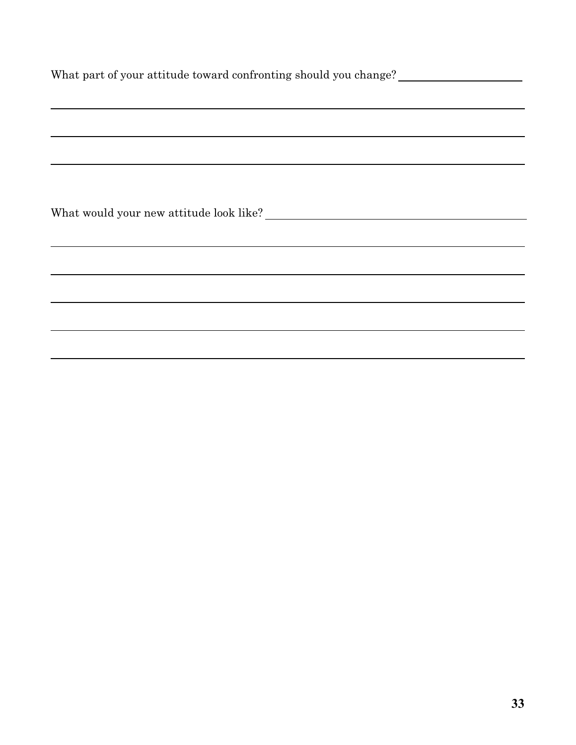| What part of your attitude toward confronting should you change? |  |  |  |
|------------------------------------------------------------------|--|--|--|
|                                                                  |  |  |  |
|                                                                  |  |  |  |
|                                                                  |  |  |  |
|                                                                  |  |  |  |
|                                                                  |  |  |  |
|                                                                  |  |  |  |
|                                                                  |  |  |  |
|                                                                  |  |  |  |
|                                                                  |  |  |  |
|                                                                  |  |  |  |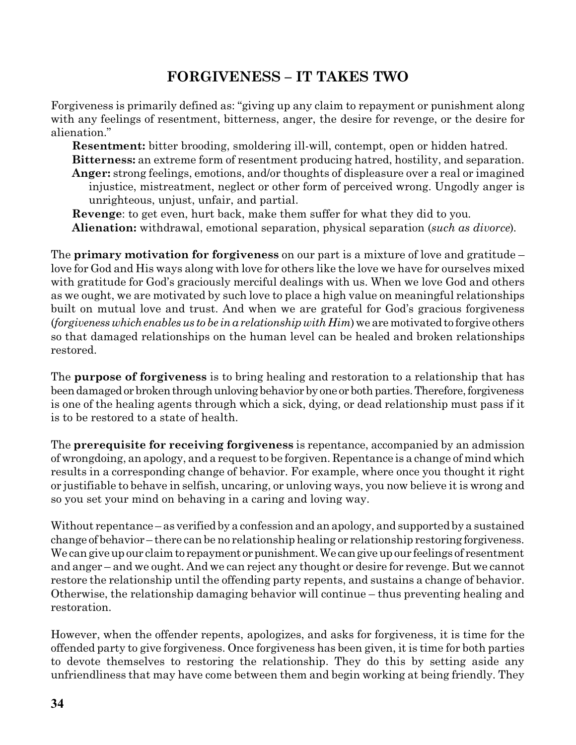# **FORGIVENESS – IT TAKES TWO**

Forgiveness is primarily defined as: "giving up any claim to repayment or punishment along with any feelings of resentment, bitterness, anger, the desire for revenge, or the desire for alienation."

**Resentment:** bitter brooding, smoldering ill-will, contempt, open or hidden hatred. **Bitterness:** an extreme form of resentment producing hatred, hostility, and separation. **Anger:** strong feelings, emotions, and/or thoughts of displeasure over a real or imagined injustice, mistreatment, neglect or other form of perceived wrong. Ungodly anger is unrighteous, unjust, unfair, and partial.

**Revenge**: to get even, hurt back, make them suffer for what they did to you*.* **Alienation:** withdrawal, emotional separation, physical separation (*such as divorce*)*.*

The **primary motivation for forgiveness** on our part is a mixture of love and gratitude – love for God and His ways along with love for others like the love we have for ourselves mixed with gratitude for God's graciously merciful dealings with us. When we love God and others as we ought, we are motivated by such love to place a high value on meaningful relationships built on mutual love and trust. And when we are grateful for God's gracious forgiveness (*forgivenesswhichenablesus to be ina relationshipwith Him*)we are motivatedto forgive others so that damaged relationships on the human level can be healed and broken relationships restored.

The **purpose of forgiveness** is to bring healing and restoration to a relationship that has been damaged or broken through unloving behavior by one or both parties. Therefore, forgiveness is one of the healing agents through which a sick, dying, or dead relationship must pass if it is to be restored to a state of health.

The **prerequisite for receiving forgiveness** is repentance, accompanied by an admission of wrongdoing, an apology, and a request to be forgiven. Repentance is a change of mind which results in a corresponding change of behavior. For example, where once you thought it right or justifiable to behave in selfish, uncaring, or unloving ways, you now believe it is wrong and so you set your mind on behaving in a caring and loving way.

Without repentance – as verified by a confession and an apology, and supported by a sustained change of behavior – there can be no relationship healing or relationship restoring forgiveness. We can give up our claim to repayment or punishment. We can give up our feelings of resentment and anger – and we ought. And we can reject any thought or desire for revenge. But we cannot restore the relationship until the offending party repents, and sustains a change of behavior. Otherwise, the relationship damaging behavior will continue – thus preventing healing and restoration.

However, when the offender repents, apologizes, and asks for forgiveness, it is time for the offended party to give forgiveness. Once forgiveness has been given, it is time for both parties to devote themselves to restoring the relationship. They do this by setting aside any unfriendliness that may have come between them and begin working at being friendly. They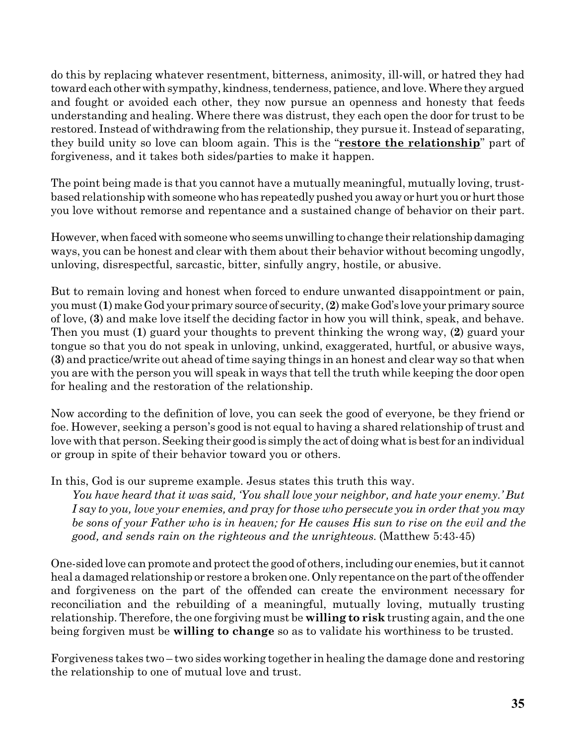do this by replacing whatever resentment, bitterness, animosity, ill-will, or hatred they had toward each other with sympathy, kindness, tenderness, patience, and love. Where they argued and fought or avoided each other, they now pursue an openness and honesty that feeds understanding and healing. Where there was distrust, they each open the door for trust to be restored. Instead of withdrawing from the relationship, they pursue it. Instead of separating, they build unity so love can bloom again. This is the "**restore the relationship**" part of forgiveness, and it takes both sides/parties to make it happen.

The point being made is that you cannot have a mutually meaningful, mutually loving, trustbased relationship with someone who has repeatedly pushed you away or hurt you or hurt those you love without remorse and repentance and a sustained change of behavior on their part.

However, when faced with someone who seems unwilling to change their relationship damaging ways, you can be honest and clear with them about their behavior without becoming ungodly, unloving, disrespectful, sarcastic, bitter, sinfully angry, hostile, or abusive.

But to remain loving and honest when forced to endure unwanted disappointment or pain, you must(**1**)makeGod your primary source of security,(**2**)makeGod's love your primary source of love, (**3**) and make love itself the deciding factor in how you will think, speak, and behave. Then you must (**1**) guard your thoughts to prevent thinking the wrong way, (**2**) guard your tongue so that you do not speak in unloving, unkind, exaggerated, hurtful, or abusive ways, (**3**) and practice/write out ahead of time saying things in an honest and clear way so that when you are with the person you will speak in ways that tell the truth while keeping the door open for healing and the restoration of the relationship.

Now according to the definition of love, you can seek the good of everyone, be they friend or foe. However, seeking a person's good is not equal to having a shared relationship of trust and love with that person. Seeking their good is simply the act of doing what is best for an individual or group in spite of their behavior toward you or others.

In this, God is our supreme example. Jesus states this truth this way.

*You have heard that it was said, 'You shall love your neighbor, and hate your enemy.' But I say to you, love your enemies, and pray for those who persecute you in order that you may be sons of your Father who is in heaven; for He causes His sun to rise on the evil and the good, and sends rain on the righteous and the unrighteous.* (Matthew 5:43-45)

One-sided love can promote and protect the good of others, including our enemies, butit cannot heal a damaged relationship or restore a broken one. Only repentance on the part of the offender and forgiveness on the part of the offended can create the environment necessary for reconciliation and the rebuilding of a meaningful, mutually loving, mutually trusting relationship. Therefore, the one forgiving must be **willing to risk** trusting again, and the one being forgiven must be **willing to change** so as to validate his worthiness to be trusted.

Forgiveness takes two – two sides working together in healing the damage done and restoring the relationship to one of mutual love and trust.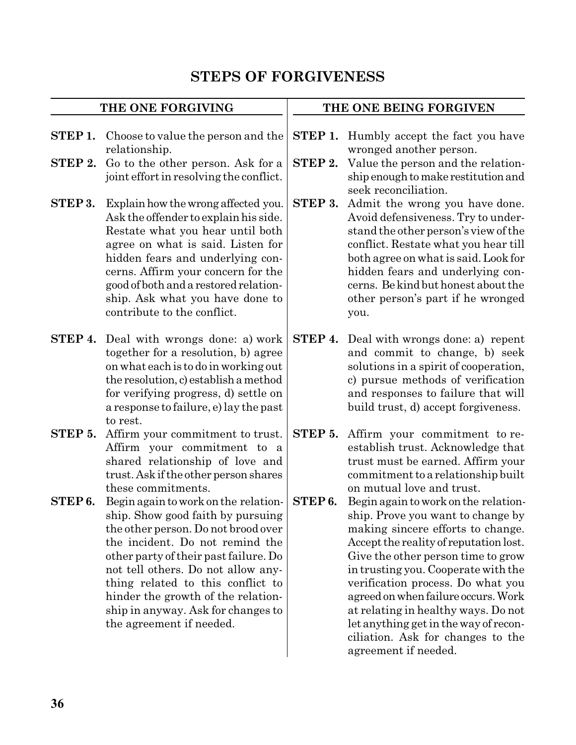# **STEPS OF FORGIVENESS**

| THE ONE FORGIVING  |                                                                                                                                                                                                                                                                                                                                                                                 | THE ONE BEING FORGIVEN |                                                                                                                                                                                                                                                                                                                                                                                                                                                                |  |
|--------------------|---------------------------------------------------------------------------------------------------------------------------------------------------------------------------------------------------------------------------------------------------------------------------------------------------------------------------------------------------------------------------------|------------------------|----------------------------------------------------------------------------------------------------------------------------------------------------------------------------------------------------------------------------------------------------------------------------------------------------------------------------------------------------------------------------------------------------------------------------------------------------------------|--|
| STEP 1.<br>STEP 2. | Choose to value the person and the<br>relationship.<br>Go to the other person. Ask for a<br>joint effort in resolving the conflict.                                                                                                                                                                                                                                             | STEP 1.<br>STEP 2.     | Humbly accept the fact you have<br>wronged another person.<br>Value the person and the relation-<br>ship enough to make restitution and                                                                                                                                                                                                                                                                                                                        |  |
| STEP 3.            | Explain how the wrong affected you.<br>Ask the offender to explain his side.<br>Restate what you hear until both<br>agree on what is said. Listen for<br>hidden fears and underlying con-<br>cerns. Affirm your concern for the<br>good of both and a restored relation-<br>ship. Ask what you have done to<br>contribute to the conflict.                                      | STEP 3.                | seek reconciliation.<br>Admit the wrong you have done.<br>Avoid defensiveness. Try to under-<br>stand the other person's view of the<br>conflict. Restate what you hear till<br>both agree on what is said. Look for<br>hidden fears and underlying con-<br>cerns. Be kind but honest about the<br>other person's part if he wronged<br>you.                                                                                                                   |  |
|                    | <b>STEP 4.</b> Deal with wrongs done: a) work<br>together for a resolution, b) agree<br>on what each is to do in working out<br>the resolution, c) establish a method<br>for verifying progress, d) settle on<br>a response to failure, e) lay the past<br>to rest.                                                                                                             | STEP 4.                | Deal with wrongs done: a) repent<br>and commit to change, b) seek<br>solutions in a spirit of cooperation,<br>c) pursue methods of verification<br>and responses to failure that will<br>build trust, d) accept forgiveness.                                                                                                                                                                                                                                   |  |
| STEP 5.            | Affirm your commitment to trust.<br>Affirm your commitment to a<br>shared relationship of love and<br>trust. Ask if the other person shares<br>these commitments.                                                                                                                                                                                                               | STEP 5.                | Affirm your commitment to re-<br>establish trust. Acknowledge that<br>trust must be earned. Affirm your<br>commitment to a relationship built<br>on mutual love and trust.                                                                                                                                                                                                                                                                                     |  |
| STEP6.             | Begin again to work on the relation-<br>ship. Show good faith by pursuing<br>the other person. Do not brood over<br>the incident. Do not remind the<br>other party of their past failure. Do<br>not tell others. Do not allow any-<br>thing related to this conflict to<br>hinder the growth of the relation-<br>ship in anyway. Ask for changes to<br>the agreement if needed. | STEP6.                 | Begin again to work on the relation-<br>ship. Prove you want to change by<br>making sincere efforts to change.<br>Accept the reality of reputation lost.<br>Give the other person time to grow<br>in trusting you. Cooperate with the<br>verification process. Do what you<br>agreed on when failure occurs. Work<br>at relating in healthy ways. Do not<br>let anything get in the way of recon-<br>ciliation. Ask for changes to the<br>agreement if needed. |  |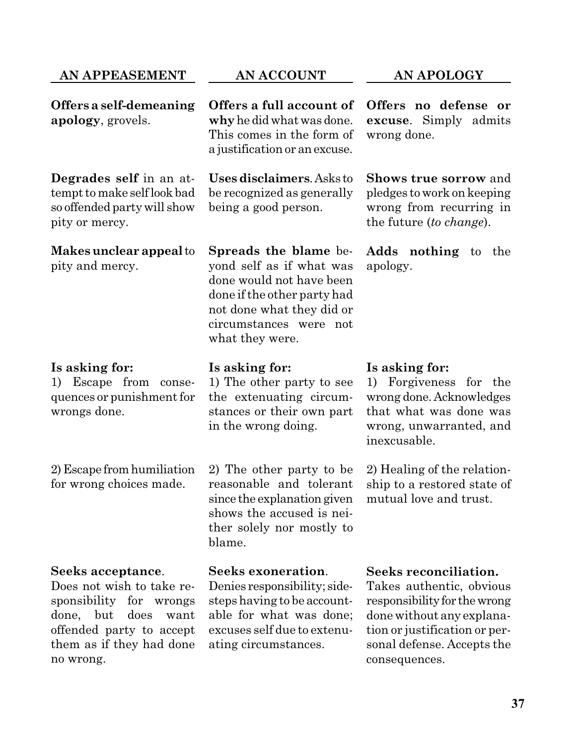## **AN APPEASEMENT**

**Degrades self** in an attempt to make selflook bad so offended partywill show

**Makesunclear appeal**to

**apology**, grovels.

pity or mercy.

pity and mercy.

### **AN ACCOUNT**

**Offers a self-demeaning Offers a full account of why**he didwhatwas done. This comes in the form of a justification or anexcuse.

> **Usesdisclaimers**.Asks to be recognized as generally being a good person.

**Spreads the blame** beyond self as if what was done would not have been done if the other party had not done what they did or circumstances were not what they were.

## **Is asking for:**

1) Escape from consequences or punishment for wrongs done.

2)Escape fromhumiliation for wrong choices made.

#### **Seeks acceptance**.

Does not wish to take responsibility for wrongs done, but does want offended party to accept them as if they had done no wrong.

### **Is asking for:**

1) The other party to see the extenuating circumstances or their own part in the wrong doing.

2) The other party to be reasonable and tolerant since the explanation given shows the accused is neither solely nor mostly to blame.

### **Seeks exoneration**.

Denies responsibility; sidesteps having to be accountable for what was done; excuses self due to extenuating circumstances.

**AN APOLOGY**

**Offers no defense or excuse**. Simply admits wrong done.

**Shows true sorrow** and pledges to work on keeping wrong from recurring in the future (*to change*).

**Adds nothing** to the apology.

### **Is asking for:**

1) Forgiveness for the wrong done. Acknowledges that what was done was wrong, unwarranted, and inexcusable.

2) Healing of the relationship to a restored state of mutual love and trust.

### **Seeks reconciliation.**

Takes authentic, obvious responsibility for thewrong done without any explanation or justification or personal defense. Accepts the consequences.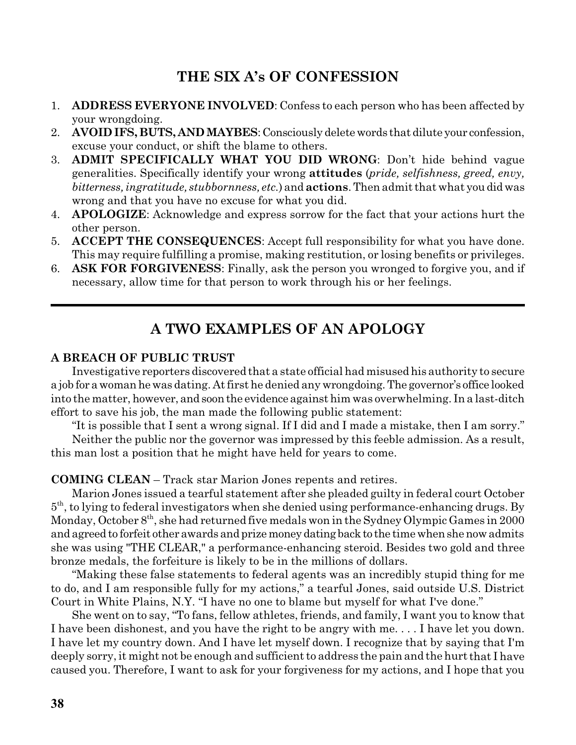## **THE SIX A's OF CONFESSION**

- 1. **ADDRESS EVERYONE INVOLVED**: Confess to each person who has been affected by your wrongdoing.
- 2. **AVOID IFS, BUTS, ANDMAYBES**:Consciously deletewords that dilute your confession, excuse your conduct, or shift the blame to others.
- 3. **ADMIT SPECIFICALLY WHAT YOU DID WRONG**: Don't hide behind vague generalities. Specifically identify your wrong **attitudes** (*pride, selfishness, greed, envy, bitterness, ingratitude, stubbornness, etc.*) and **actions**. Then admit that what youdidwas wrong and that you have no excuse for what you did.
- 4. **APOLOGIZE**: Acknowledge and express sorrow for the fact that your actions hurt the other person.
- 5. **ACCEPT THE CONSEQUENCES**: Accept full responsibility for what you have done. This may require fulfilling a promise, making restitution, or losing benefits or privileges.
- 6. **ASK FOR FORGIVENESS**: Finally, ask the person you wronged to forgive you, and if necessary, allow time for that person to work through his or her feelings.

# **A TWO EXAMPLES OF AN APOLOGY**

### **A BREACH OF PUBLIC TRUST**

Investigative reporters discovered that a state official had misused his authority to secure a job for awomanhewas dating. At first he denied any wrongdoing.The governor's office looked into the matter, however, and soon the evidence against him was overwhelming. In a last-ditch effort to save his job, the man made the following public statement:

"It is possible that I sent a wrong signal. If I did and I made a mistake, then I am sorry."

Neither the public nor the governor was impressed by this feeble admission. As a result, this man lost a position that he might have held for years to come.

### **COMING CLEAN** – Track star Marion Jones repents and retires.

Marion Jones issued a tearful statement after she pleaded guilty in federal court October  $5<sup>th</sup>$ , to lying to federal investigators when she denied using performance-enhancing drugs. By Monday, October  $8^{\rm th}$ , she had returned five medals won in the Sydney Olympic Games in 2000 and agreed to forfeit other awards and prize money dating back to the time when she now admits she was using "THE CLEAR," a performance-enhancing steroid. Besides two gold and three bronze medals, the forfeiture is likely to be in the millions of dollars.

"Making these false statements to federal agents was an incredibly stupid thing for me to do, and I am responsible fully for my actions," a tearful Jones, said outside U.S. District Court in White Plains, N.Y. "I have no one to blame but myself for what I've done."

She went on to say, "To fans, fellow athletes, friends, and family, I want you to know that I have been dishonest, and you have the right to be angry with me. . . . I have let you down. I have let my country down. And I have let myself down. I recognize that by saying that I'm deeply sorry, it might not be enough and sufficient to address the pain and the hurt that I have caused you. Therefore, I want to ask for your forgiveness for my actions, and I hope that you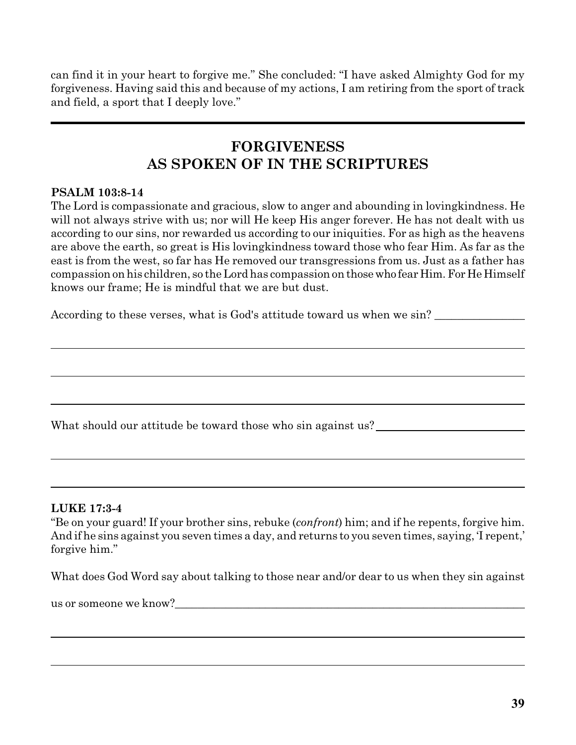can find it in your heart to forgive me." She concluded: "I have asked Almighty God for my forgiveness. Having said this and because of my actions, I am retiring from the sport of track and field, a sport that I deeply love."

## **FORGIVENESS AS SPOKEN OF IN THE SCRIPTURES**

### **PSALM 103:8-14**

The Lord is compassionate and gracious, slow to anger and abounding in lovingkindness. He will not always strive with us; nor will He keep His anger forever. He has not dealt with us according to our sins, nor rewarded us according to our iniquities. For as high as the heavens are above the earth, so great is His lovingkindness toward those who fear Him. As far as the east is from the west, so far has He removed our transgressions from us. Just as a father has compassion on his children, so the Lord has compassion on thosewho fear Him.For He Himself knows our frame; He is mindful that we are but dust.

According to these verses, what is God's attitude toward us when we sin?

What should our attitude be toward those who sin against us?

### **LUKE 17:3-4**

"Be on your guard! If your brother sins, rebuke (*confront*) him; and if he repents, forgive him. And if he sins against you seven times a day, and returns to you seven times, saying, 'I repent,' forgive him."

What does God Word say about talking to those near and/or dear to us when they sin against

us or someone we know?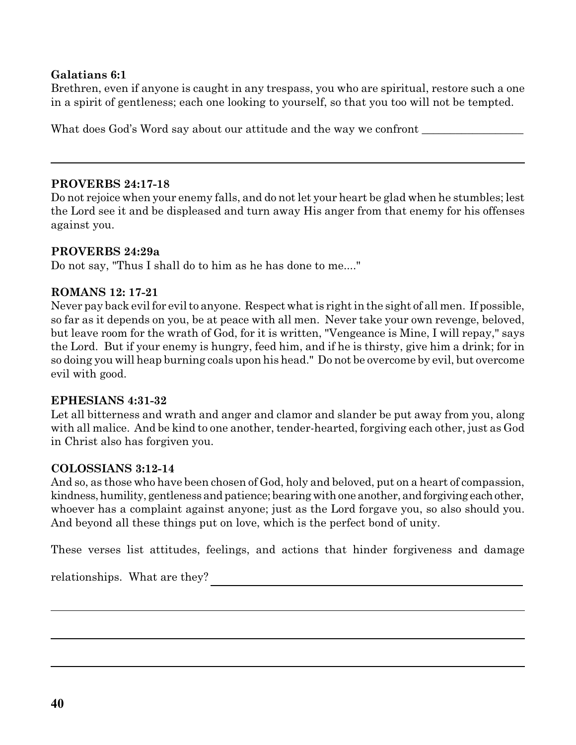### **Galatians 6:1**

Brethren, even if anyone is caught in any trespass, you who are spiritual, restore such a one in a spirit of gentleness; each one looking to yourself, so that you too will not be tempted.

What does God's Word say about our attitude and the way we confront

### **PROVERBS 24:17-18**

Do not rejoice when your enemy falls, and do not let your heart be glad when he stumbles; lest the Lord see it and be displeased and turn away His anger from that enemy for his offenses against you.

### **PROVERBS 24:29a**

Do not say, "Thus I shall do to him as he has done to me...."

### **ROMANS 12: 17-21**

Never pay back evilfor evilto anyone. Respect what is right in the sight of all men. If possible, so far as it depends on you, be at peace with all men. Never take your own revenge, beloved, but leave room for the wrath of God, for it is written, "Vengeance is Mine, I will repay," says the Lord. But if your enemy is hungry, feed him, and if he is thirsty, give him a drink; for in so doing you will heap burning coals upon his head." Do not be overcome by evil, but overcome evil with good.

### **EPHESIANS 4:31-32**

Let all bitterness and wrath and anger and clamor and slander be put away from you, along with all malice. And be kind to one another, tender-hearted, forgiving each other, just as God in Christ also has forgiven you.

### **COLOSSIANS 3:12-14**

And so, as those who have been chosen of God, holy and beloved, put on a heart of compassion, kindness, humility, gentleness and patience; bearing with one another, and forgiving each other, whoever has a complaint against anyone; just as the Lord forgave you, so also should you. And beyond all these things put on love, which is the perfect bond of unity.

These verses list attitudes, feelings, and actions that hinder forgiveness and damage

relationships. What are they?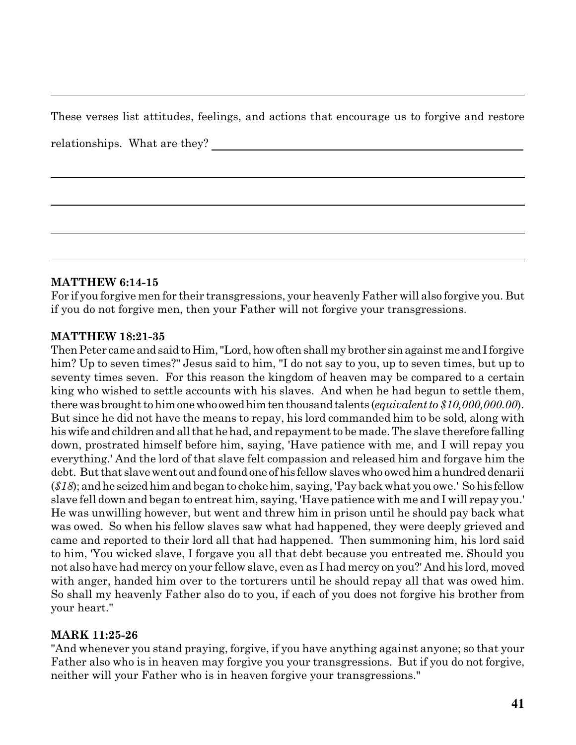These verses list attitudes, feelings, and actions that encourage us to forgive and restore

relationships. What are they?

### **MATTHEW 6:14-15**

For if you forgive men for their transgressions, your heavenly Father will also forgive you. But if you do not forgive men, then your Father will not forgive your transgressions.

### **MATTHEW 18:21-35**

Then Peter came and said to Him, "Lord, how often shall my brother sin against me and I forgive him? Up to seven times?" Jesus said to him, "I do not say to you, up to seven times, but up to seventy times seven. For this reason the kingdom of heaven may be compared to a certain king who wished to settle accounts with his slaves. And when he had begun to settle them, there was brought to him one who owed him ten thousand talents (*equivalent* to \$10,000,000.00). But since he did not have the means to repay, his lord commanded him to be sold, along with his wife and children and all that he had, and repayment to be made. The slave therefore falling down, prostrated himself before him, saying, 'Have patience with me, and I will repay you everything.' And the lord of that slave felt compassion and released him and forgave him the debt. But that slave went out and found one of his fellow slaves who owed him a hundred denarii (*\$18*); andhe seizedhim and began to choke him, saying, 'Pay back what you owe.' So his fellow slave fell down and began to entreat him, saying, 'Have patience with me and I will repay you.' He was unwilling however, but went and threw him in prison until he should pay back what was owed. So when his fellow slaves saw what had happened, they were deeply grieved and came and reported to their lord all that had happened. Then summoning him, his lord said to him, 'You wicked slave, I forgave you all that debt because you entreated me. Should you not also have had mercy on your fellow slave, even as I had mercy on you?' And his lord, moved with anger, handed him over to the torturers until he should repay all that was owed him. So shall my heavenly Father also do to you, if each of you does not forgive his brother from your heart."

### **MARK 11:25-26**

"And whenever you stand praying, forgive, if you have anything against anyone; so that your Father also who is in heaven may forgive you your transgressions. But if you do not forgive, neither will your Father who is in heaven forgive your transgressions."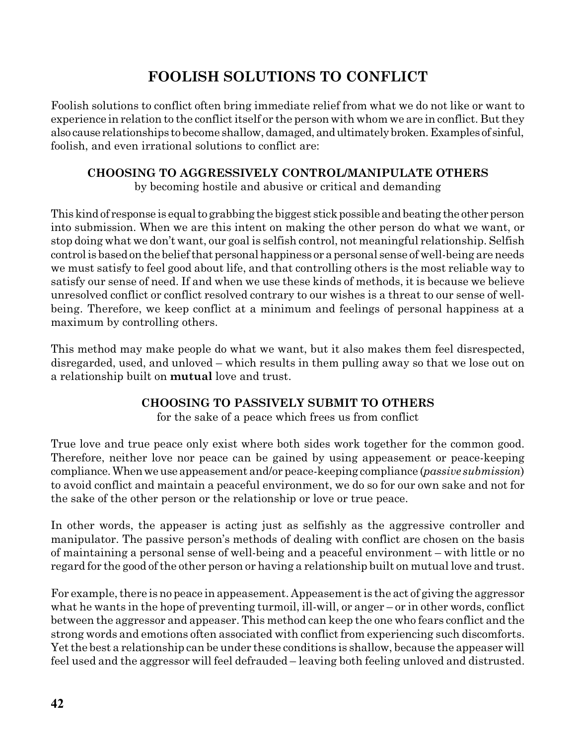# **FOOLISH SOLUTIONS TO CONFLICT**

Foolish solutions to conflict often bring immediate relief from what we do not like or want to experience in relation to the conflict itself or the person with whom we are in conflict. But they also cause relationships to become shallow, damaged, andultimatelybroken.Examples of sinful, foolish, and even irrational solutions to conflict are:

### **CHOOSING TO AGGRESSIVELY CONTROL/MANIPULATE OTHERS** by becoming hostile and abusive or critical and demanding

This kind of response is equal to grabbing the biggest stick possible and beating the other person into submission. When we are this intent on making the other person do what we want, or stop doing what we don't want, our goal is selfish control, not meaningful relationship. Selfish control is based on the belief that personal happiness or a personal sense of well-being are needs we must satisfy to feel good about life, and that controlling others is the most reliable way to satisfy our sense of need. If and when we use these kinds of methods, it is because we believe unresolved conflict or conflict resolved contrary to our wishes is a threat to our sense of wellbeing. Therefore, we keep conflict at a minimum and feelings of personal happiness at a maximum by controlling others.

This method may make people do what we want, but it also makes them feel disrespected, disregarded, used, and unloved – which results in them pulling away so that we lose out on a relationship built on **mutual** love and trust.

## **CHOOSING TO PASSIVELY SUBMIT TO OTHERS**

for the sake of a peace which frees us from conflict

True love and true peace only exist where both sides work together for the common good. Therefore, neither love nor peace can be gained by using appeasement or peace-keeping compliance.Whenweuse appeasement and/or peace-keeping compliance (*passive submission*) to avoid conflict and maintain a peaceful environment, we do so for our own sake and not for the sake of the other person or the relationship or love or true peace.

In other words, the appeaser is acting just as selfishly as the aggressive controller and manipulator. The passive person's methods of dealing with conflict are chosen on the basis of maintaining a personal sense of well-being and a peaceful environment – with little or no regard for the good of the other person or having a relationship built on mutual love and trust.

For example, there isno peace in appeasement. Appeasement is the act of giving the aggressor what he wants in the hope of preventing turmoil, ill-will, or anger – or in other words, conflict between the aggressor and appeaser. This method can keep the one who fears conflict and the strong words and emotions often associated with conflict from experiencing such discomforts. Yet the best a relationship can be under these conditions is shallow, because the appeaser will feel used and the aggressor will feel defrauded – leaving both feeling unloved and distrusted.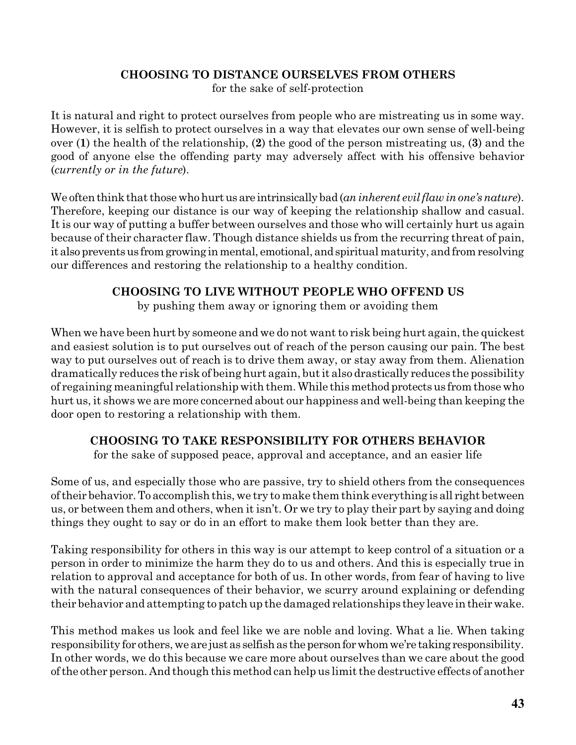## **CHOOSING TO DISTANCE OURSELVES FROM OTHERS**

for the sake of self-protection

It is natural and right to protect ourselves from people who are mistreating us in some way. However, it is selfish to protect ourselves in a way that elevates our own sense of well-being over (**1**) the health of the relationship, (**2**) the good of the person mistreating us, (**3**) and the good of anyone else the offending party may adversely affect with his offensive behavior (*currently or in the future*).

We often think that those who hurt us are intrinsically bad (*an inherent evil flaw in one's nature*). Therefore, keeping our distance is our way of keeping the relationship shallow and casual. It is our way of putting a buffer between ourselves and those who will certainly hurt us again because of their character flaw. Though distance shields us from the recurring threat of pain, it also prevents us from growing in mental, emotional, and spiritual maturity, and from resolving our differences and restoring the relationship to a healthy condition.

## **CHOOSING TO LIVE WITHOUT PEOPLE WHO OFFEND US**

by pushing them away or ignoring them or avoiding them

When we have been hurt by someone and we do not want to risk being hurt again, the quickest and easiest solution is to put ourselves out of reach of the person causing our pain. The best way to put ourselves out of reach is to drive them away, or stay away from them. Alienation dramatically reduces the risk of being hurt again, but it also drastically reduces the possibility of regaining meaningful relationship with them. While thismethod protectsus from those who hurt us, it shows we are more concerned about our happiness and well-being than keeping the door open to restoring a relationship with them.

## **CHOOSING TO TAKE RESPONSIBILITY FOR OTHERS BEHAVIOR**

for the sake of supposed peace, approval and acceptance, and an easier life

Some of us, and especially those who are passive, try to shield others from the consequences oftheir behavior.To accomplish this, we try to make them think everything is all right between us, or between them and others, when it isn't. Or we try to play their part by saying and doing things they ought to say or do in an effort to make them look better than they are.

Taking responsibility for others in this way is our attempt to keep control of a situation or a person in order to minimize the harm they do to us and others. And this is especially true in relation to approval and acceptance for both of us. In other words, from fear of having to live with the natural consequences of their behavior, we scurry around explaining or defending their behavior and attempting to patch up the damaged relationships they leave intheirwake.

This method makes us look and feel like we are noble and loving. What a lie. When taking responsibility for others, we are just as selfish as the person for whom we're taking responsibility. In other words, we do this because we care more about ourselves than we care about the good ofthe other person. And though this method can help us limit the destructive effects of another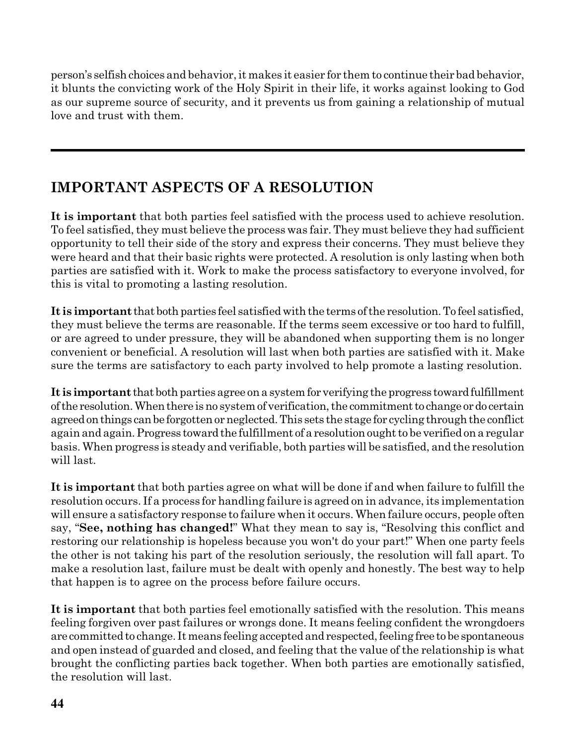person's selfish choices and behavior, it makes it easier for them to continue their bad behavior, it blunts the convicting work of the Holy Spirit in their life, it works against looking to God as our supreme source of security, and it prevents us from gaining a relationship of mutual love and trust with them.

# **IMPORTANT ASPECTS OF A RESOLUTION**

**It is important** that both parties feel satisfied with the process used to achieve resolution. To feel satisfied, they must believe the process was fair. They must believe they had sufficient opportunity to tell their side of the story and express their concerns. They must believe they were heard and that their basic rights were protected. A resolution is only lasting when both parties are satisfied with it. Work to make the process satisfactory to everyone involved, for this is vital to promoting a lasting resolution.

**It is important** that both parties feel satisfied with the terms of the resolution. To feel satisfied, they must believe the terms are reasonable. If the terms seem excessive or too hard to fulfill, or are agreed to under pressure, they will be abandoned when supporting them is no longer convenient or beneficial. A resolution will last when both parties are satisfied with it. Make sure the terms are satisfactory to each party involved to help promote a lasting resolution.

It is **important** that both parties agree on a system for verifying the progress toward fulfillment ofthe resolution.Whenthere isno systemof verification,the commitmentto change ordo certain agreed on things can be forgotten or neglected. This sets the stage for cycling through the conflict again and again. Progress toward the fulfillment of a resolution ought to be verified on a regular basis. When progress is steady and verifiable, both parties will be satisfied, and the resolution will last.

**It is important** that both parties agree on what will be done if and when failure to fulfill the resolution occurs. If a process for handling failure is agreed on in advance, its implementation will ensure a satisfactory response to failure when it occurs. When failure occurs, people often say, "**See, nothing has changed!**" What they mean to say is, "Resolving this conflict and restoring our relationship is hopeless because you won't do your part!" When one party feels the other is not taking his part of the resolution seriously, the resolution will fall apart. To make a resolution last, failure must be dealt with openly and honestly. The best way to help that happen is to agree on the process before failure occurs.

**It is important** that both parties feel emotionally satisfied with the resolution. This means feeling forgiven over past failures or wrongs done. It means feeling confident the wrongdoers are committed to change. It means feeling accepted and respected, feeling free to be spontaneous and open instead of guarded and closed, and feeling that the value of the relationship is what brought the conflicting parties back together. When both parties are emotionally satisfied, the resolution will last.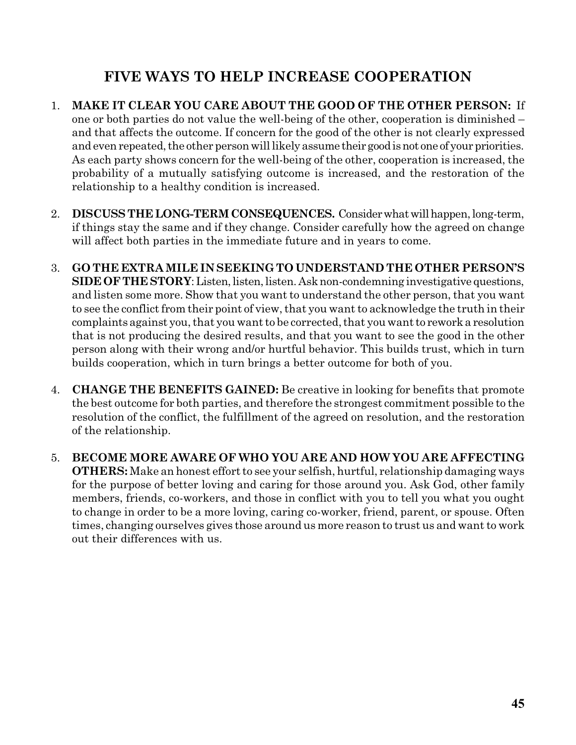# **FIVE WAYS TO HELP INCREASE COOPERATION**

- 1. **MAKE IT CLEAR YOU CARE ABOUT THE GOOD OF THE OTHER PERSON:** If one or both parties do not value the well-being of the other, cooperation is diminished – and that affects the outcome. If concern for the good of the other is not clearly expressed and even repeated, the other person will likely assume their good is not one of your priorities. As each party shows concern for the well-being of the other, cooperation is increased, the probability of a mutually satisfying outcome is increased, and the restoration of the relationship to a healthy condition is increased.
- 2. **DISCUSS THE LONG-TERM CONSEQUENCES.** Consider what will happen, long-term, if things stay the same and if they change. Consider carefully how the agreed on change will affect both parties in the immediate future and in years to come.
- 3. **GO THE EXTRA MILE IN SEEKING TO UNDERSTAND THE OTHER PERSON'S SIDE OF THE STORY:** Listen, listen, listen. Ask non-condemning investigative questions, and listen some more. Show that you want to understand the other person, that you want to see the conflict from their point of view, that you want to acknowledge the truth in their complaints against you, that you want to be corrected, that you wantto reworka resolution that is not producing the desired results, and that you want to see the good in the other person along with their wrong and/or hurtful behavior. This builds trust, which in turn builds cooperation, which in turn brings a better outcome for both of you.
- 4. **CHANGE THE BENEFITS GAINED:** Be creative in looking for benefits that promote the best outcome for both parties, and therefore the strongest commitment possible to the resolution of the conflict, the fulfillment of the agreed on resolution, and the restoration of the relationship.
- 5. **BECOME MORE AWARE OF WHO YOU ARE AND HOW YOU ARE AFFECTING OTHERS:** Make an honest effort to see your selfish, hurtful, relationship damaging ways for the purpose of better loving and caring for those around you. Ask God, other family members, friends, co-workers, and those in conflict with you to tell you what you ought to change in order to be a more loving, caring co-worker, friend, parent, or spouse. Often times, changing ourselves gives those around us more reason to trust us and want to work out their differences with us.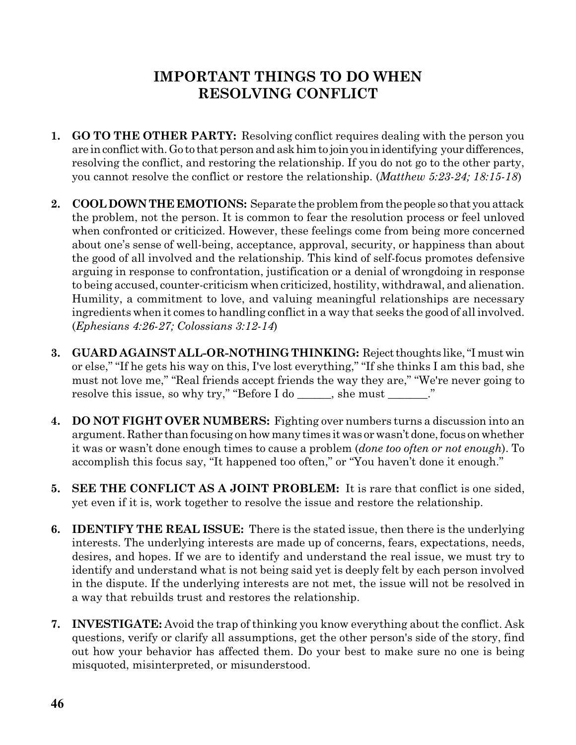# **IMPORTANT THINGS TO DO WHEN RESOLVING CONFLICT**

- **1. GO TO THE OTHER PARTY:** Resolving conflict requires dealing with the person you are in conflict with. Go to that person and ask him to join you in identifying your differences, resolving the conflict, and restoring the relationship. If you do not go to the other party, you cannot resolve the conflict or restore the relationship. (*Matthew 5:23-24; 18:15-18*)
- 2. **COOL DOWN THE EMOTIONS:** Separate the problem from the people so that you attack the problem, not the person. It is common to fear the resolution process or feel unloved when confronted or criticized. However, these feelings come from being more concerned about one's sense of well-being, acceptance, approval, security, or happiness than about the good of all involved and the relationship. This kind of self-focus promotes defensive arguing in response to confrontation, justification or a denial of wrongdoing in response to being accused, counter-criticism when criticized, hostility, withdrawal, and alienation. Humility, a commitment to love, and valuing meaningful relationships are necessary ingredients when it comes to handling conflict in a way that seeks the good of all involved. (*Ephesians 4:26-27; Colossians 3:12-14*)
- **3. GUARD AGAINST ALL-OR-NOTHING THINKING:** Reject thoughts like, "I must win or else," "If he gets his way on this, I've lost everything," "If she thinks I am this bad, she must not love me," "Real friends accept friends the way they are," "We're never going to resolve this issue, so why try," "Before I do \_\_\_\_\_\_, she must \_\_\_\_\_\_\_."
- **4. DO NOT FIGHT OVER NUMBERS:** Fighting over numbers turns a discussion into an argument. Rather than focusing on how many times it was or wasn't done, focus on whether it was or wasn't done enough times to cause a problem (*done too often or not enough*). To accomplish this focus say, "It happened too often," or "You haven't done it enough."
- **5. SEE THE CONFLICT AS A JOINT PROBLEM:** It is rare that conflict is one sided, yet even if it is, work together to resolve the issue and restore the relationship.
- **6. IDENTIFY THE REAL ISSUE:** There is the stated issue, then there is the underlying interests. The underlying interests are made up of concerns, fears, expectations, needs, desires, and hopes. If we are to identify and understand the real issue, we must try to identify and understand what is not being said yet is deeply felt by each person involved in the dispute. If the underlying interests are not met, the issue will not be resolved in a way that rebuilds trust and restores the relationship.
- **7. INVESTIGATE:** Avoid the trap of thinking you know everything about the conflict. Ask questions, verify or clarify all assumptions, get the other person's side of the story, find out how your behavior has affected them. Do your best to make sure no one is being misquoted, misinterpreted, or misunderstood.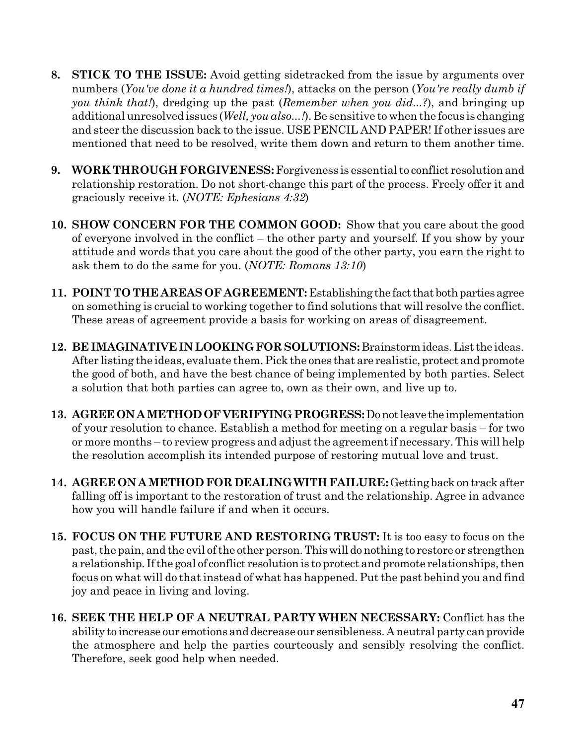- **8. STICK TO THE ISSUE:** Avoid getting sidetracked from the issue by arguments over numbers (*You've done it a hundred times!*), attacks on the person (*You're really dumb if you think that!*), dredging up the past (*Remember when you did...?*), and bringing up additional unresolved issues (*Well, you also...!*). Be sensitive to when the focus is changing and steer the discussion back to the issue. USE PENCIL AND PAPER! If other issues are mentioned that need to be resolved, write them down and return to them another time.
- **9. WORK THROUGH FORGIVENESS:** Forgiveness is essential to conflict resolution and relationship restoration. Do not short-change this part of the process. Freely offer it and graciously receive it. (*NOTE: Ephesians 4:32*)
- **10. SHOW CONCERN FOR THE COMMON GOOD:** Show that you care about the good of everyone involved in the conflict – the other party and yourself. If you show by your attitude and words that you care about the good of the other party, you earn the right to ask them to do the same for you. (*NOTE: Romans 13:10*)
- **11. POINT TO THEAREAS OF AGREEMENT:** Establishing the factthat bothpartiesagree on something is crucial to working together to find solutions that will resolve the conflict. These areas of agreement provide a basis for working on areas of disagreement.
- **12. BE IMAGINATIVEIN LOOKING FOR SOLUTIONS:**Brainstorm ideas.Listthe ideas. After listing the ideas, evaluate them. Pick the ones that are realistic, protect and promote the good of both, and have the best chance of being implemented by both parties. Select a solution that both parties can agree to, own as their own, and live up to.
- **13. AGREE ON AMETHOD OFVERIFYING PROGRESS:**Donotleave the implementation of your resolution to chance. Establish a method for meeting on a regular basis – for two or more months – to review progress and adjust the agreement if necessary. This will help the resolution accomplish its intended purpose of restoring mutual love and trust.
- **14. AGREE ON AMETHOD FOR DEALINGWITH FAILURE:**Getting backontrack after falling off is important to the restoration of trust and the relationship. Agree in advance how you will handle failure if and when it occurs.
- **15. FOCUS ON THE FUTURE AND RESTORING TRUST:** It is too easy to focus on the past, the pain, and the evil of the other person.Thiswill donothing to restore or strengthen a relationship. If the goal of conflict resolution is to protect and promote relationships, then focus on what will do that instead of what has happened. Put the past behind you and find joy and peace in living and loving.
- **16. SEEK THE HELP OF A NEUTRAL PARTY WHEN NECESSARY:** Conflict has the ability to increase our emotions and decrease our sensibleness. A neutral party canprovide the atmosphere and help the parties courteously and sensibly resolving the conflict. Therefore, seek good help when needed.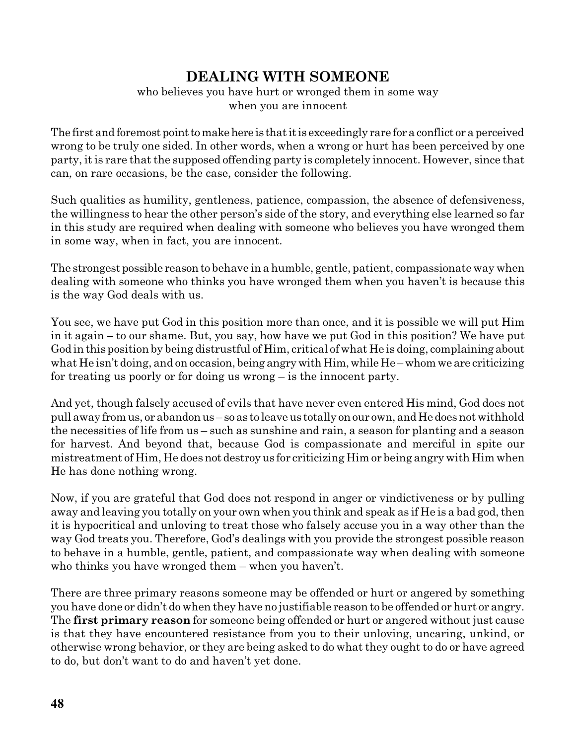## **DEALING WITH SOMEONE**

### who believes you have hurt or wronged them in some way when you are innocent

The first and foremost point to make here is that it is exceedingly rare for a conflict or a perceived wrong to be truly one sided. In other words, when a wrong or hurt has been perceived by one party, it is rare that the supposed offending party is completely innocent. However, since that can, on rare occasions, be the case, consider the following.

Such qualities as humility, gentleness, patience, compassion, the absence of defensiveness, the willingness to hear the other person's side of the story, and everything else learned so far in this study are required when dealing with someone who believes you have wronged them in some way, when in fact, you are innocent.

The strongest possible reasonto behave in a humble, gentle, patient, compassionate way when dealing with someone who thinks you have wronged them when you haven't is because this is the way God deals with us.

You see, we have put God in this position more than once, and it is possible we will put Him in it again – to our shame. But, you say, how have we put God in this position? We have put God in this position by being distrustful of Him, critical of what He is doing, complaining about what He isn't doing, and on occasion, being angry with Him, while He – whom we are criticizing for treating us poorly or for doing us wrong – is the innocent party.

And yet, though falsely accused of evils that have never even entered His mind, God does not pull away from us, or abandon us - so as to leave us totally on our own, and He does not withhold the necessities of life from us – such as sunshine and rain, a season for planting and a season for harvest. And beyond that, because God is compassionate and merciful in spite our mistreatment of Him, He does not destroy us for criticizing Him or being angry with Him when He has done nothing wrong.

Now, if you are grateful that God does not respond in anger or vindictiveness or by pulling away and leaving you totally on your own when you think and speak as if He is a bad god, then it is hypocritical and unloving to treat those who falsely accuse you in a way other than the way God treats you. Therefore, God's dealings with you provide the strongest possible reason to behave in a humble, gentle, patient, and compassionate way when dealing with someone who thinks you have wronged them – when you haven't.

There are three primary reasons someone may be offended or hurt or angered by something you have done or didn't do when they have no justifiable reason to be offended or hurt or angry. The **first primary reason** for someone being offended or hurt or angered without just cause is that they have encountered resistance from you to their unloving, uncaring, unkind, or otherwise wrong behavior, or they are being asked to do what they ought to do or have agreed to do, but don't want to do and haven't yet done.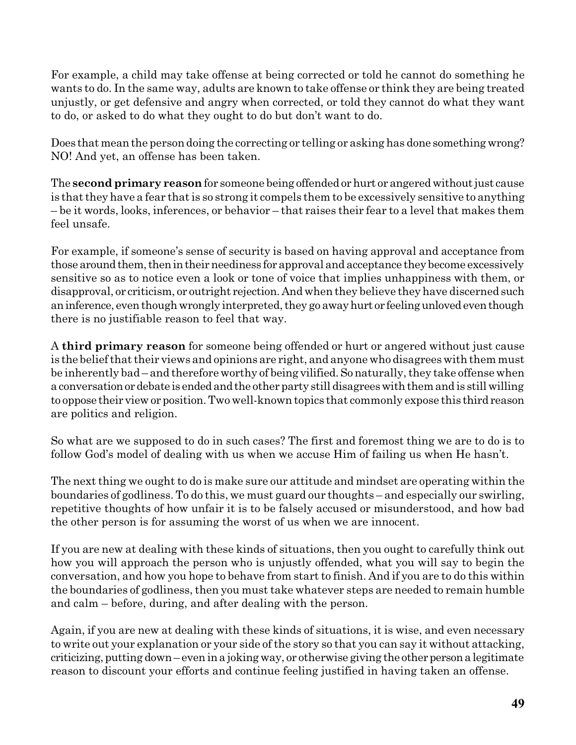For example, a child may take offense at being corrected or told he cannot do something he wants to do. In the same way, adults are known to take offense or think they are being treated unjustly, or get defensive and angry when corrected, or told they cannot do what they want to do, or asked to do what they ought to do but don't want to do.

Does that meanthe person doing the correcting or telling or asking has done somethingwrong? NO! And yet, an offense has been taken.

The **secondprimary reason**for someone being offendedorhurt or angeredwithoutjust cause is that they have a fear that is so strong it compels them to be excessively sensitive to anything – be it words, looks, inferences, or behavior – that raises their fear to a level that makes them feel unsafe.

For example, if someone's sense of security is based on having approval and acceptance from those around them, then in their neediness for approval and acceptance they become excessively sensitive so as to notice even a look or tone of voice that implies unhappiness with them, or disapproval, or criticism, or outright rejection. And when they believe they have discerned such an inference, even though wrongly interpreted, they go away hurt or feeling unloved even though there is no justifiable reason to feel that way.

A **third primary reason** for someone being offended or hurt or angered without just cause is the belief that their views and opinions are right, and anyone who disagrees with them must be inherently bad – and therefore worthy of being vilified.Sonaturally, they take offense when a conversation or debate is ended and the other party still disagrees with them and is still willing to oppose their view or position. Two well-known topics that commonly expose this third reason are politics and religion.

So what are we supposed to do in such cases? The first and foremost thing we are to do is to follow God's model of dealing with us when we accuse Him of failing us when He hasn't.

The next thing we ought to do is make sure our attitude and mindset are operating within the boundaries of godliness. To do this, we must guard our thoughts – and especially our swirling, repetitive thoughts of how unfair it is to be falsely accused or misunderstood, and how bad the other person is for assuming the worst of us when we are innocent.

If you are new at dealing with these kinds of situations, then you ought to carefully think out how you will approach the person who is unjustly offended, what you will say to begin the conversation, and how you hope to behave from start to finish. And if you are to do this within the boundaries of godliness, then you must take whatever steps are needed to remain humble and calm – before, during, and after dealing with the person.

Again, if you are new at dealing with these kinds of situations, it is wise, and even necessary to write out your explanation or your side of the story so that you can say it without attacking, criticizing, putting down–even in a joking way, or otherwise giving the other person a legitimate reason to discount your efforts and continue feeling justified in having taken an offense.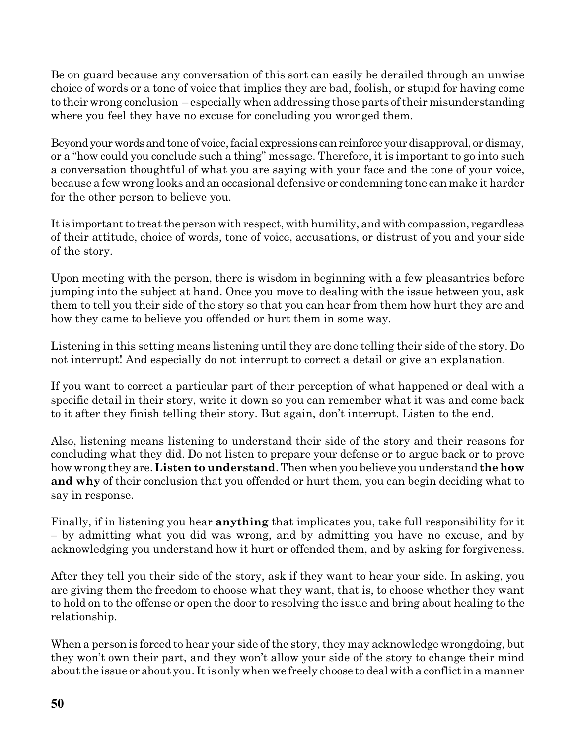Be on guard because any conversation of this sort can easily be derailed through an unwise choice of words or a tone of voice that implies they are bad, foolish, or stupid for having come to their wrong conclusion – especially when addressing those parts of their misunderstanding where you feel they have no excuse for concluding you wronged them.

Beyond your words and tone of voice, facial expressions can reinforce your disapproval, or dismay, or a "how could you conclude such a thing" message. Therefore, it is important to go into such a conversation thoughtful of what you are saying with your face and the tone of your voice, because a few wrong looks and an occasional defensive or condemning tone can make it harder for the other person to believe you.

It is important to treat the person with respect, with humility, and with compassion, regardless of their attitude, choice of words, tone of voice, accusations, or distrust of you and your side of the story.

Upon meeting with the person, there is wisdom in beginning with a few pleasantries before jumping into the subject at hand. Once you move to dealing with the issue between you, ask them to tell you their side of the story so that you can hear from them how hurt they are and how they came to believe you offended or hurt them in some way.

Listening in this setting means listening until they are done telling their side of the story. Do not interrupt! And especially do not interrupt to correct a detail or give an explanation.

If you want to correct a particular part of their perception of what happened or deal with a specific detail in their story, write it down so you can remember what it was and come back to it after they finish telling their story. But again, don't interrupt. Listen to the end.

Also, listening means listening to understand their side of the story and their reasons for concluding what they did. Do not listen to prepare your defense or to argue back or to prove how wrong they are. **Listen to understand**. Then when you believe you understand **thehow and why** of their conclusion that you offended or hurt them, you can begin deciding what to say in response.

Finally, if in listening you hear **anything** that implicates you, take full responsibility for it – by admitting what you did was wrong, and by admitting you have no excuse, and by acknowledging you understand how it hurt or offended them, and by asking for forgiveness.

After they tell you their side of the story, ask if they want to hear your side. In asking, you are giving them the freedom to choose what they want, that is, to choose whether they want to hold on to the offense or open the door to resolving the issue and bring about healing to the relationship.

When a person is forced to hear your side of the story, they may acknowledge wrongdoing, but they won't own their part, and they won't allow your side of the story to change their mind about the issue or about you. It is only when we freely choose to deal with a conflict in a manner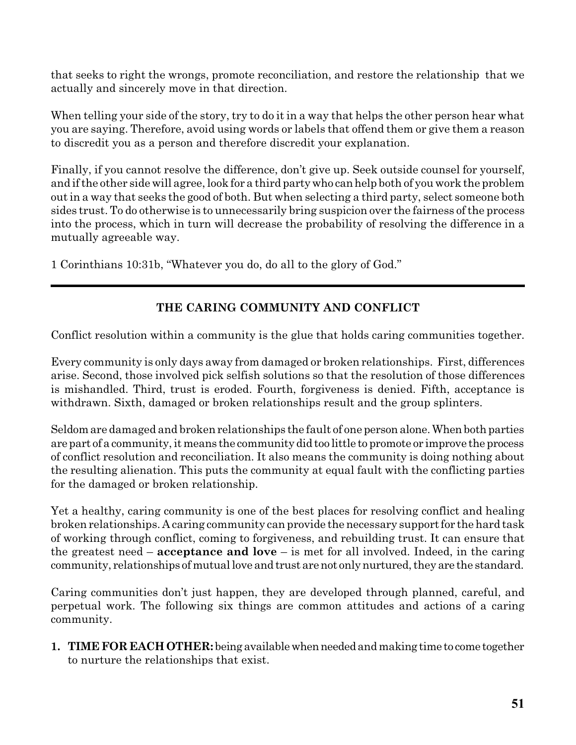that seeks to right the wrongs, promote reconciliation, and restore the relationship that we actually and sincerely move in that direction.

When telling your side of the story, try to do it in a way that helps the other person hear what you are saying. Therefore, avoid using words or labels that offend them or give them a reason to discredit you as a person and therefore discredit your explanation.

Finally, if you cannot resolve the difference, don't give up. Seek outside counsel for yourself, and ifthe other side will agree, look for a third partywho canhelp both of you work the problem out in a way that seeks the good of both. But when selecting a third party, select someone both sides trust. To do otherwise is to unnecessarily bring suspicion over the fairness of the process into the process, which in turn will decrease the probability of resolving the difference in a mutually agreeable way.

1 Corinthians 10:31b, "Whatever you do, do all to the glory of God."

## **THE CARING COMMUNITY AND CONFLICT**

Conflict resolution within a community is the glue that holds caring communities together.

Every community is only days away from damaged or broken relationships. First, differences arise. Second, those involved pick selfish solutions so that the resolution of those differences is mishandled. Third, trust is eroded. Fourth, forgiveness is denied. Fifth, acceptance is withdrawn. Sixth, damaged or broken relationships result and the group splinters.

Seldom are damaged and broken relationships the fault of one person alone. When both parties are part of a community, it means the community did too little to promote or improve the process of conflict resolution and reconciliation. It also means the community is doing nothing about the resulting alienation. This puts the community at equal fault with the conflicting parties for the damaged or broken relationship.

Yet a healthy, caring community is one of the best places for resolving conflict and healing broken relationships. A caring community can provide the necessary support for the hard task of working through conflict, coming to forgiveness, and rebuilding trust. It can ensure that the greatest need – **acceptance and love** – is met for all involved. Indeed, in the caring community, relationships of mutual love and trust are not only nurtured, they are the standard.

Caring communities don't just happen, they are developed through planned, careful, and perpetual work. The following six things are common attitudes and actions of a caring community.

**1. TIMEFOR EACH OTHER:** being availablewhenneededandmaking time to come together to nurture the relationships that exist.